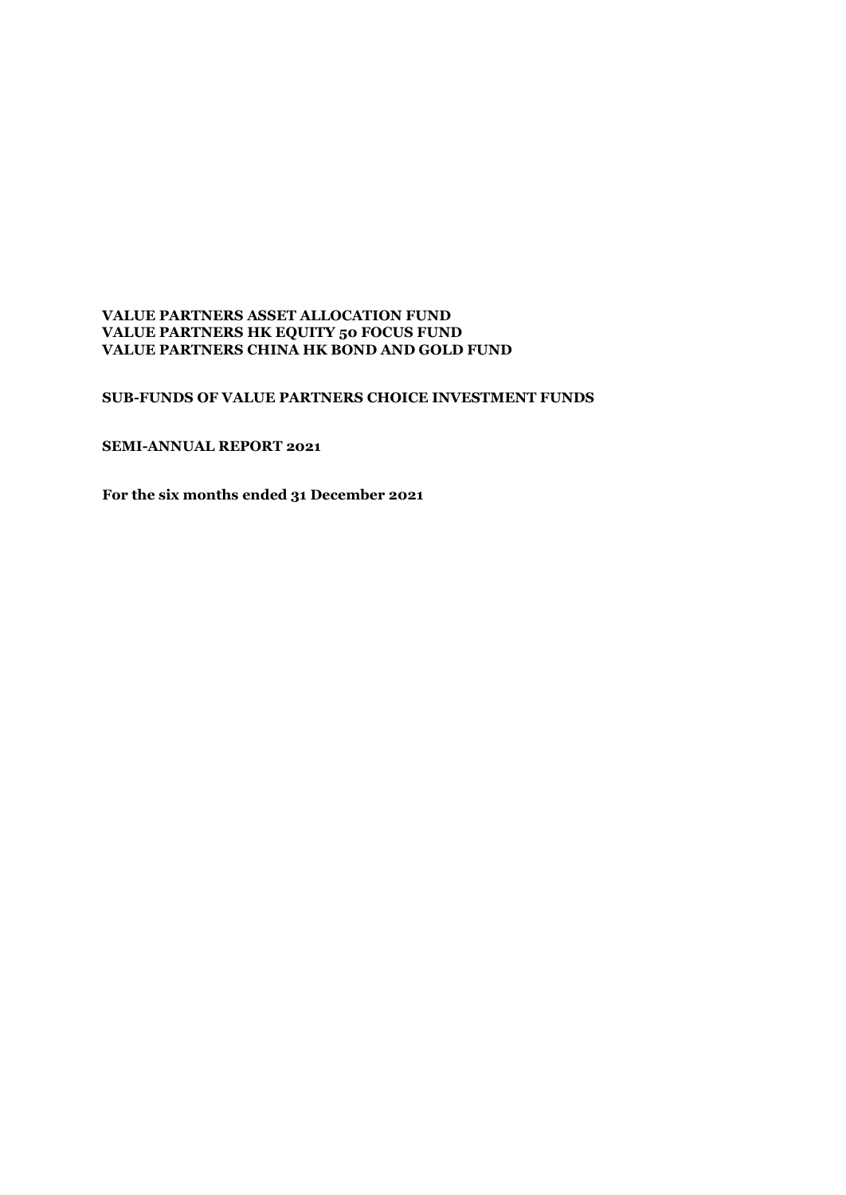#### **VALUE PARTNERS ASSET ALLOCATION FUND VALUE PARTNERS HK EQUITY 50 FOCUS FUND VALUE PARTNERS CHINA HK BOND AND GOLD FUND**

#### **SUB-FUNDS OF VALUE PARTNERS CHOICE INVESTMENT FUNDS**

### **SEMI-ANNUAL REPORT 2021**

**For the six months ended 31 December 2021**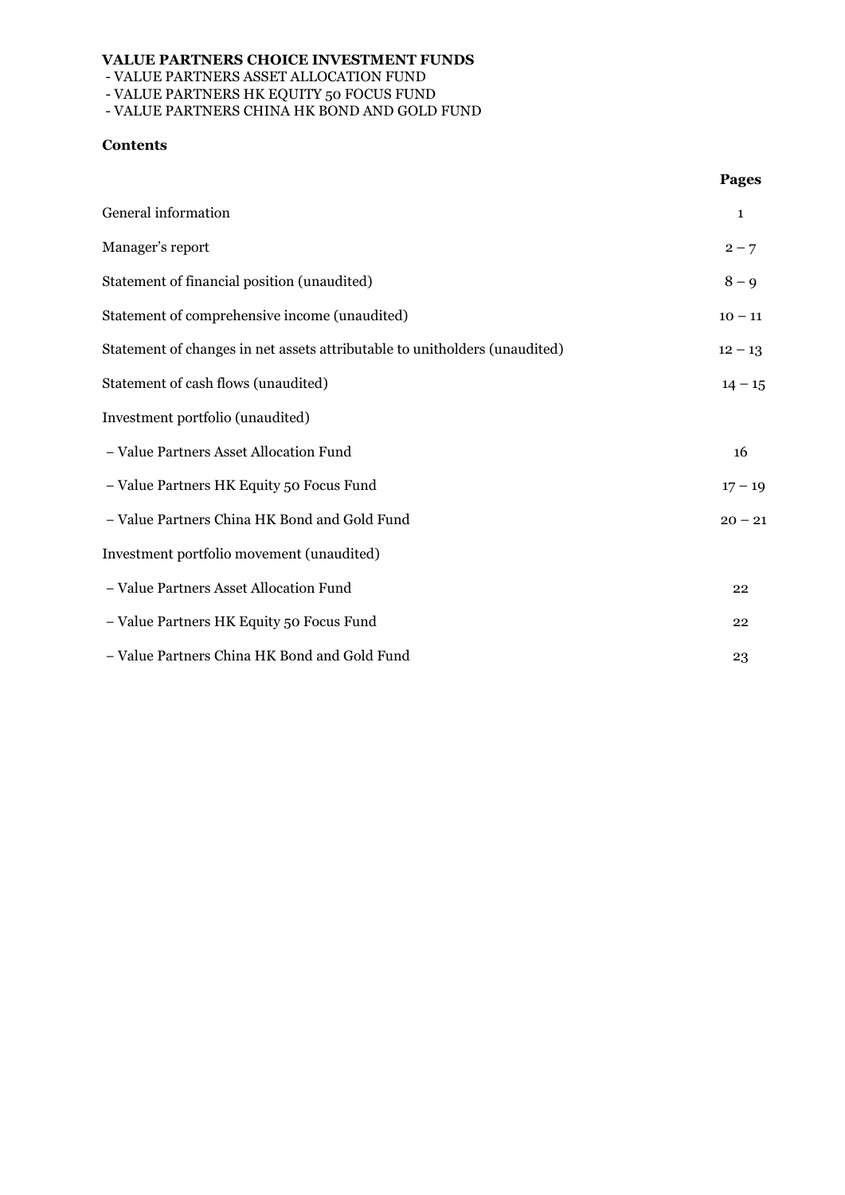- VALUE PARTNERS ASSET ALLOCATION FUND

- VALUE PARTNERS HK EQUITY 50 FOCUS FUND

- VALUE PARTNERS CHINA HK BOND AND GOLD FUND

### **Contents**

|                                                                            | <b>Pages</b> |
|----------------------------------------------------------------------------|--------------|
| General information                                                        | $\mathbf{1}$ |
| Manager's report                                                           | $2 - 7$      |
| Statement of financial position (unaudited)                                | $8 - 9$      |
| Statement of comprehensive income (unaudited)                              | $10 - 11$    |
| Statement of changes in net assets attributable to unitholders (unaudited) | $12 - 13$    |
| Statement of cash flows (unaudited)                                        | $14 - 15$    |
| Investment portfolio (unaudited)                                           |              |
| - Value Partners Asset Allocation Fund                                     | 16           |
| - Value Partners HK Equity 50 Focus Fund                                   | $17 - 19$    |
| - Value Partners China HK Bond and Gold Fund                               | $20 - 21$    |
| Investment portfolio movement (unaudited)                                  |              |
| - Value Partners Asset Allocation Fund                                     | 22           |
| - Value Partners HK Equity 50 Focus Fund                                   | 22           |
| - Value Partners China HK Bond and Gold Fund                               | 23           |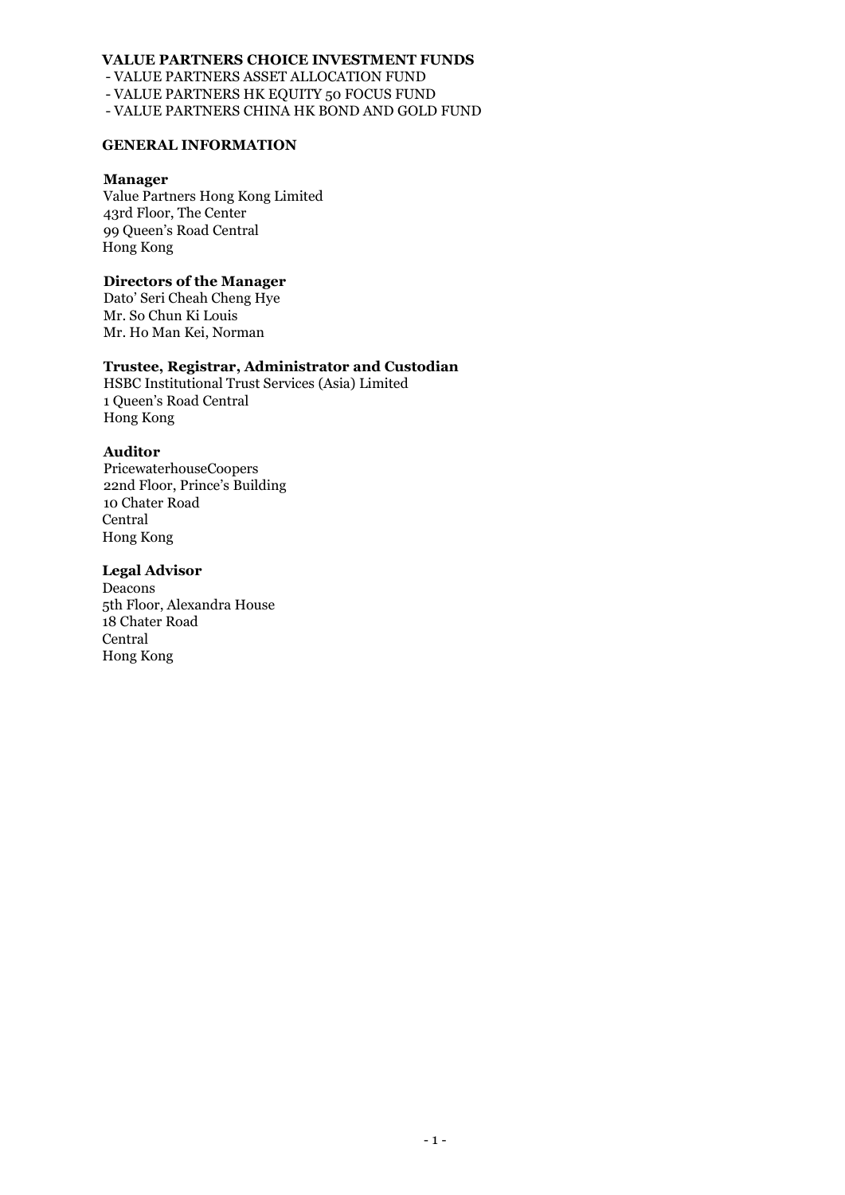- VALUE PARTNERS ASSET ALLOCATION FUND

- VALUE PARTNERS HK EQUITY 50 FOCUS FUND

- VALUE PARTNERS CHINA HK BOND AND GOLD FUND

#### **GENERAL INFORMATION**

#### **Manager**

Value Partners Hong Kong Limited 43rd Floor, The Center 99 Queen's Road Central Hong Kong

#### **Directors of the Manager**

Dato' Seri Cheah Cheng Hye Mr. So Chun Ki Louis Mr. Ho Man Kei, Norman

### **Trustee, Registrar, Administrator and Custodian**

HSBC Institutional Trust Services (Asia) Limited 1 Queen's Road Central Hong Kong

#### **Auditor**

PricewaterhouseCoopers 22nd Floor, Prince's Building 10 Chater Road Central Hong Kong

#### **Legal Advisor**

Deacons 5th Floor, Alexandra House 18 Chater Road Central Hong Kong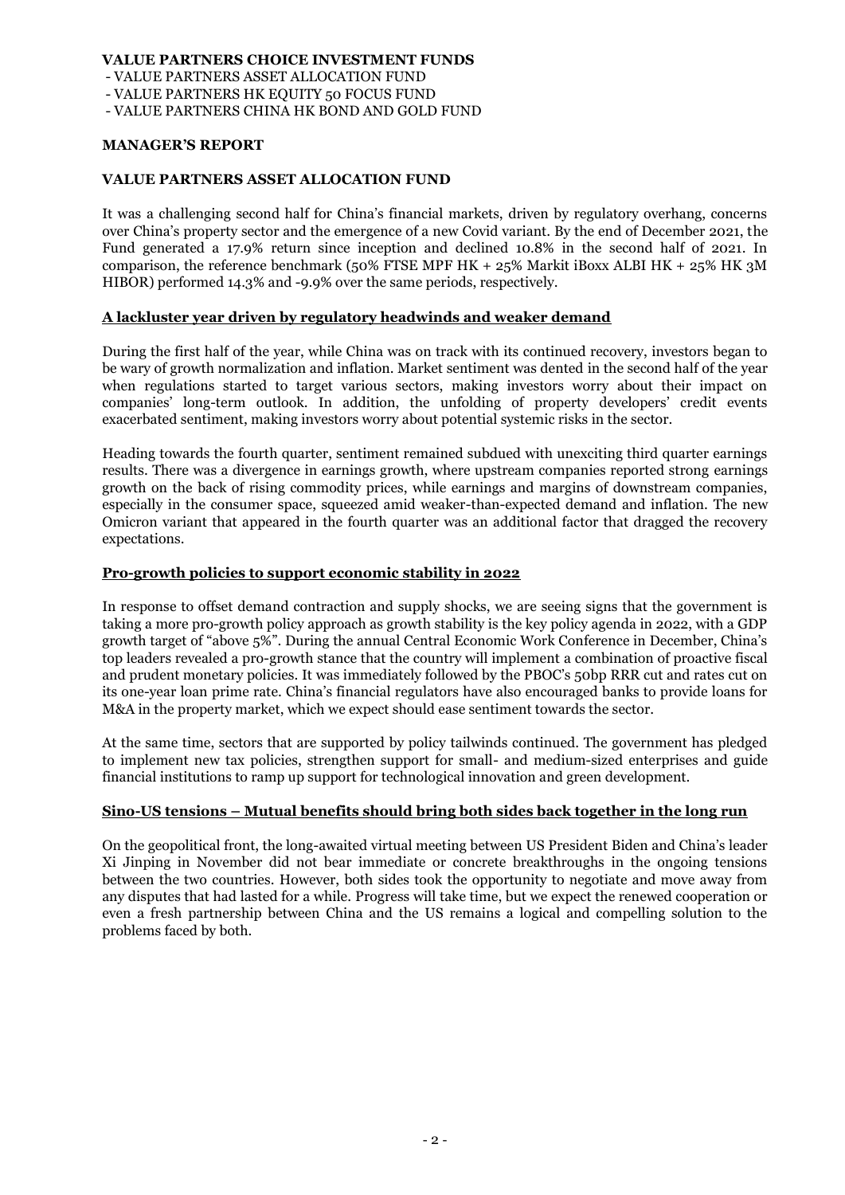- VALUE PARTNERS ASSET ALLOCATION FUND

- VALUE PARTNERS HK EQUITY 50 FOCUS FUND

- VALUE PARTNERS CHINA HK BOND AND GOLD FUND

#### **MANAGER'S REPORT**

### **VALUE PARTNERS ASSET ALLOCATION FUND**

It was a challenging second half for China's financial markets, driven by regulatory overhang, concerns over China's property sector and the emergence of a new Covid variant. By the end of December 2021, the Fund generated a 17.9% return since inception and declined 10.8% in the second half of 2021. In comparison, the reference benchmark (50% FTSE MPF HK + 25% Markit iBoxx ALBI HK + 25% HK 3M HIBOR) performed 14.3% and -9.9% over the same periods, respectively.

### **A lackluster year driven by regulatory headwinds and weaker demand**

During the first half of the year, while China was on track with its continued recovery, investors began to be wary of growth normalization and inflation. Market sentiment was dented in the second half of the year when regulations started to target various sectors, making investors worry about their impact on companies' long-term outlook. In addition, the unfolding of property developers' credit events exacerbated sentiment, making investors worry about potential systemic risks in the sector.

Heading towards the fourth quarter, sentiment remained subdued with unexciting third quarter earnings results. There was a divergence in earnings growth, where upstream companies reported strong earnings growth on the back of rising commodity prices, while earnings and margins of downstream companies, especially in the consumer space, squeezed amid weaker-than-expected demand and inflation. The new Omicron variant that appeared in the fourth quarter was an additional factor that dragged the recovery expectations.

### **Pro-growth policies to support economic stability in 2022**

In response to offset demand contraction and supply shocks, we are seeing signs that the government is taking a more pro-growth policy approach as growth stability is the key policy agenda in 2022, with a GDP growth target of "above 5%". During the annual Central Economic Work Conference in December, China's top leaders revealed a pro-growth stance that the country will implement a combination of proactive fiscal and prudent monetary policies. It was immediately followed by the PBOC's 50bp RRR cut and rates cut on its one-year loan prime rate. China's financial regulators have also encouraged banks to provide loans for M&A in the property market, which we expect should ease sentiment towards the sector.

At the same time, sectors that are supported by policy tailwinds continued. The government has pledged to implement new tax policies, strengthen support for small- and medium-sized enterprises and guide financial institutions to ramp up support for technological innovation and green development.

#### **Sino-US tensions – Mutual benefits should bring both sides back together in the long run**

On the geopolitical front, the long-awaited virtual meeting between US President Biden and China's leader Xi Jinping in November did not bear immediate or concrete breakthroughs in the ongoing tensions between the two countries. However, both sides took the opportunity to negotiate and move away from any disputes that had lasted for a while. Progress will take time, but we expect the renewed cooperation or even a fresh partnership between China and the US remains a logical and compelling solution to the problems faced by both.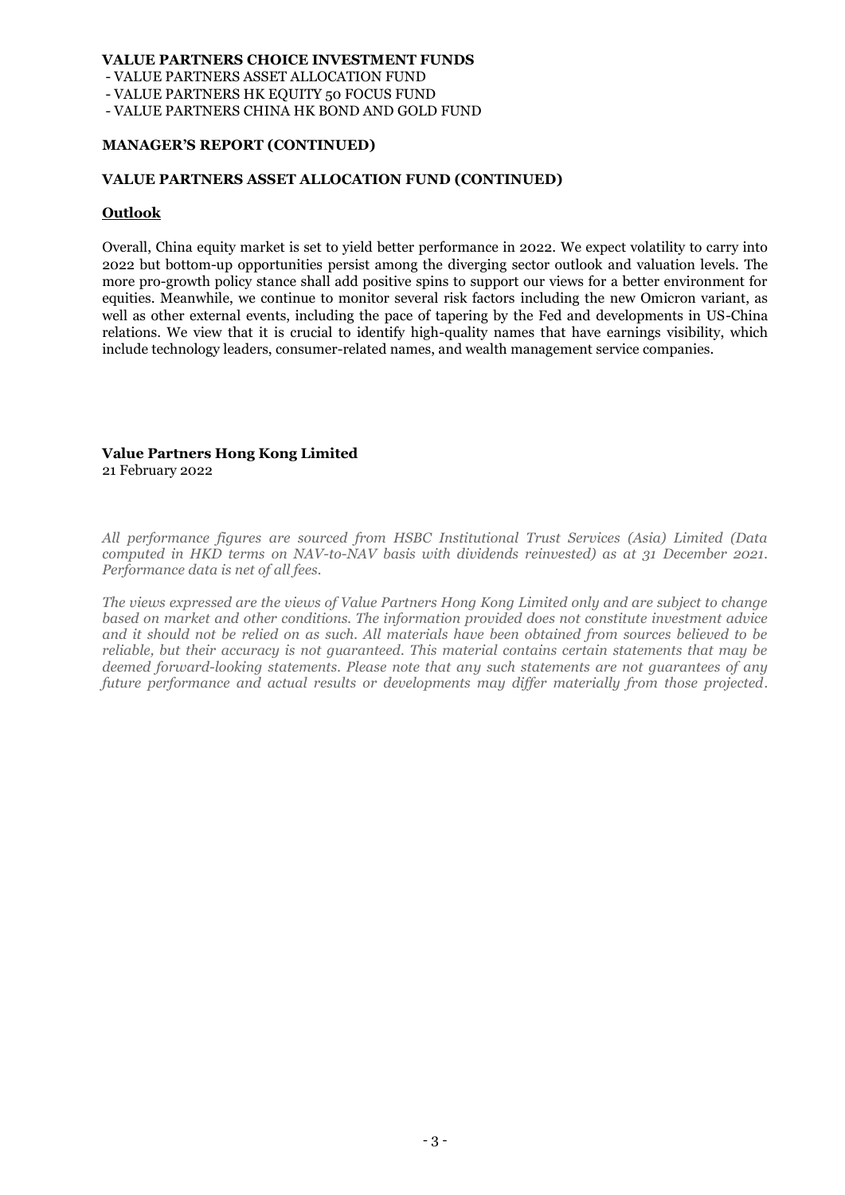- VALUE PARTNERS ASSET ALLOCATION FUND

- VALUE PARTNERS HK EQUITY 50 FOCUS FUND

- VALUE PARTNERS CHINA HK BOND AND GOLD FUND

#### **MANAGER'S REPORT (CONTINUED)**

#### **VALUE PARTNERS ASSET ALLOCATION FUND (CONTINUED)**

#### **Outlook**

Overall, China equity market is set to yield better performance in 2022. We expect volatility to carry into 2022 but bottom-up opportunities persist among the diverging sector outlook and valuation levels. The more pro-growth policy stance shall add positive spins to support our views for a better environment for equities. Meanwhile, we continue to monitor several risk factors including the new Omicron variant, as well as other external events, including the pace of tapering by the Fed and developments in US-China relations. We view that it is crucial to identify high-quality names that have earnings visibility, which include technology leaders, consumer-related names, and wealth management service companies.

#### **Value Partners Hong Kong Limited** 21 February 2022

*All performance figures are sourced from HSBC Institutional Trust Services (Asia) Limited (Data computed in HKD terms on NAV-to-NAV basis with dividends reinvested) as at 31 December 2021. Performance data is net of all fees.*

*The views expressed are the views of Value Partners Hong Kong Limited only and are subject to change based on market and other conditions. The information provided does not constitute investment advice and it should not be relied on as such. All materials have been obtained from sources believed to be reliable, but their accuracy is not guaranteed. This material contains certain statements that may be deemed forward-looking statements. Please note that any such statements are not guarantees of any future performance and actual results or developments may differ materially from those projected.*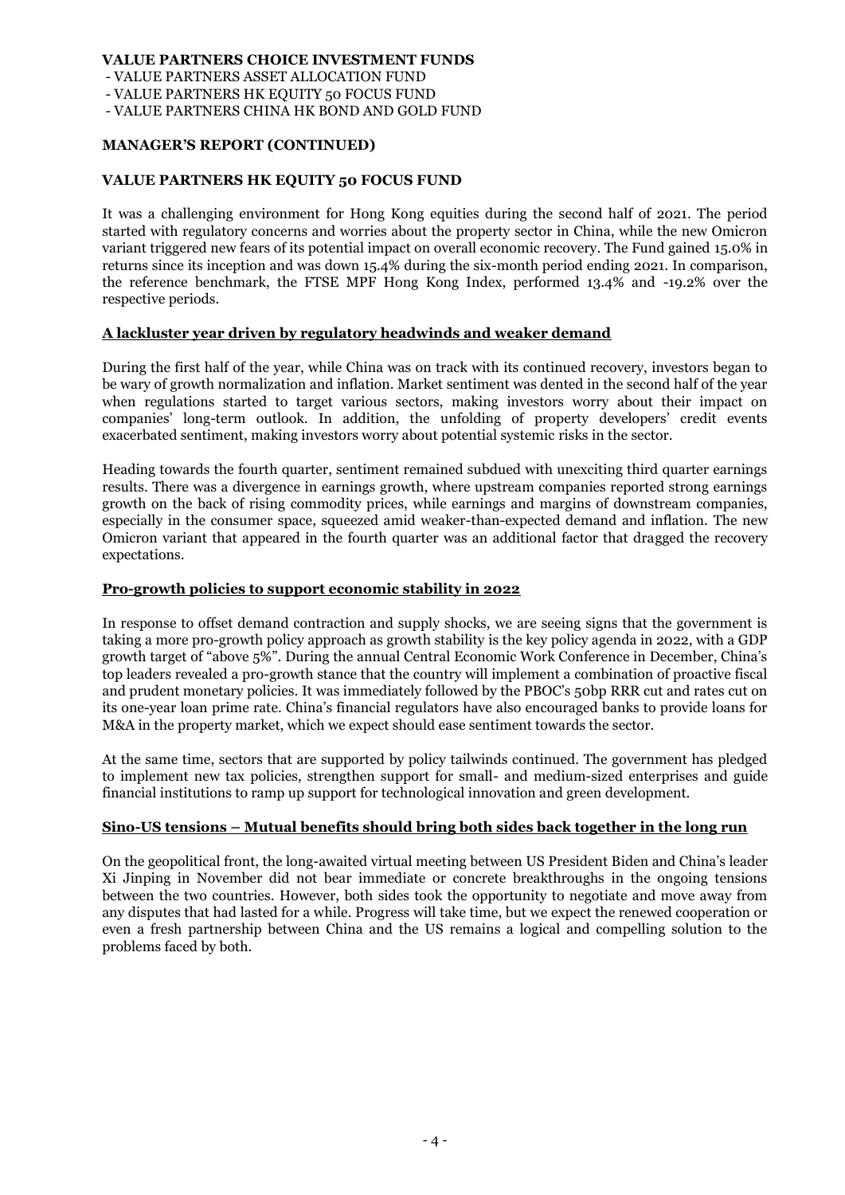- VALUE PARTNERS ASSET ALLOCATION FUND

- VALUE PARTNERS HK EQUITY 50 FOCUS FUND

- VALUE PARTNERS CHINA HK BOND AND GOLD FUND

#### **MANAGER'S REPORT (CONTINUED)**

#### **VALUE PARTNERS HK EQUITY 50 FOCUS FUND**

It was a challenging environment for Hong Kong equities during the second half of 2021. The period started with regulatory concerns and worries about the property sector in China, while the new Omicron variant triggered new fears of its potential impact on overall economic recovery. The Fund gained 15.0% in returns since its inception and was down 15.4% during the six-month period ending 2021. In comparison, the reference benchmark, the FTSE MPF Hong Kong Index, performed 13.4% and -19.2% over the respective periods.

#### **A lackluster year driven by regulatory headwinds and weaker demand**

During the first half of the year, while China was on track with its continued recovery, investors began to be wary of growth normalization and inflation. Market sentiment was dented in the second half of the year when regulations started to target various sectors, making investors worry about their impact on companies' long-term outlook. In addition, the unfolding of property developers' credit events exacerbated sentiment, making investors worry about potential systemic risks in the sector.

Heading towards the fourth quarter, sentiment remained subdued with unexciting third quarter earnings results. There was a divergence in earnings growth, where upstream companies reported strong earnings growth on the back of rising commodity prices, while earnings and margins of downstream companies, especially in the consumer space, squeezed amid weaker-than-expected demand and inflation. The new Omicron variant that appeared in the fourth quarter was an additional factor that dragged the recovery expectations.

#### **Pro-growth policies to support economic stability in 2022**

In response to offset demand contraction and supply shocks, we are seeing signs that the government is taking a more pro-growth policy approach as growth stability is the key policy agenda in 2022, with a GDP growth target of "above 5%". During the annual Central Economic Work Conference in December, China's top leaders revealed a pro-growth stance that the country will implement a combination of proactive fiscal and prudent monetary policies. It was immediately followed by the PBOC's 50bp RRR cut and rates cut on its one-year loan prime rate. China's financial regulators have also encouraged banks to provide loans for M&A in the property market, which we expect should ease sentiment towards the sector.

At the same time, sectors that are supported by policy tailwinds continued. The government has pledged to implement new tax policies, strengthen support for small- and medium-sized enterprises and guide financial institutions to ramp up support for technological innovation and green development.

#### **Sino-US tensions – Mutual benefits should bring both sides back together in the long run**

On the geopolitical front, the long-awaited virtual meeting between US President Biden and China's leader Xi Jinping in November did not bear immediate or concrete breakthroughs in the ongoing tensions between the two countries. However, both sides took the opportunity to negotiate and move away from any disputes that had lasted for a while. Progress will take time, but we expect the renewed cooperation or even a fresh partnership between China and the US remains a logical and compelling solution to the problems faced by both.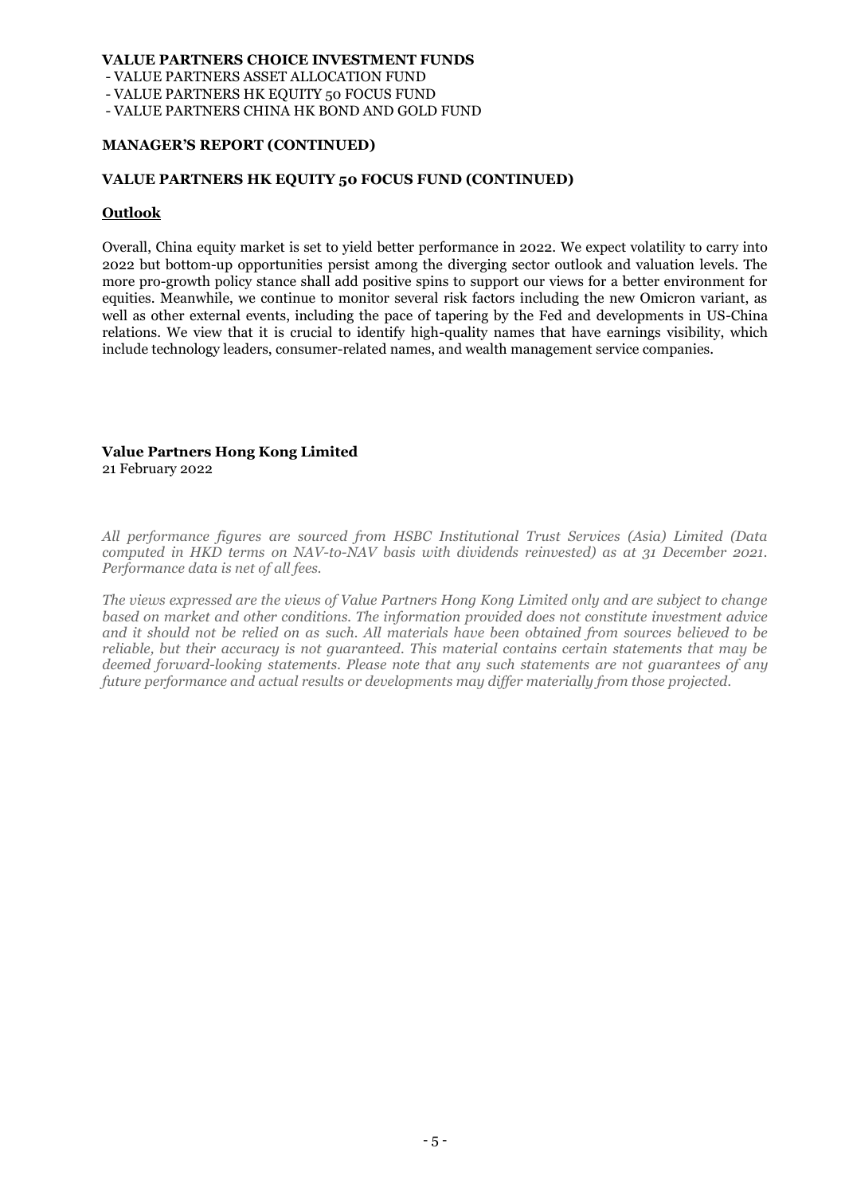- VALUE PARTNERS ASSET ALLOCATION FUND

- VALUE PARTNERS HK EQUITY 50 FOCUS FUND

- VALUE PARTNERS CHINA HK BOND AND GOLD FUND

#### **MANAGER'S REPORT (CONTINUED)**

#### **VALUE PARTNERS HK EQUITY 50 FOCUS FUND (CONTINUED)**

#### **Outlook**

Overall, China equity market is set to yield better performance in 2022. We expect volatility to carry into 2022 but bottom-up opportunities persist among the diverging sector outlook and valuation levels. The more pro-growth policy stance shall add positive spins to support our views for a better environment for equities. Meanwhile, we continue to monitor several risk factors including the new Omicron variant, as well as other external events, including the pace of tapering by the Fed and developments in US-China relations. We view that it is crucial to identify high-quality names that have earnings visibility, which include technology leaders, consumer-related names, and wealth management service companies.

### **Value Partners Hong Kong Limited**

21 February 2022

*All performance figures are sourced from HSBC Institutional Trust Services (Asia) Limited (Data computed in HKD terms on NAV-to-NAV basis with dividends reinvested) as at 31 December 2021. Performance data is net of all fees.*

*The views expressed are the views of Value Partners Hong Kong Limited only and are subject to change based on market and other conditions. The information provided does not constitute investment advice and it should not be relied on as such. All materials have been obtained from sources believed to be reliable, but their accuracy is not guaranteed. This material contains certain statements that may be deemed forward-looking statements. Please note that any such statements are not guarantees of any future performance and actual results or developments may differ materially from those projected.*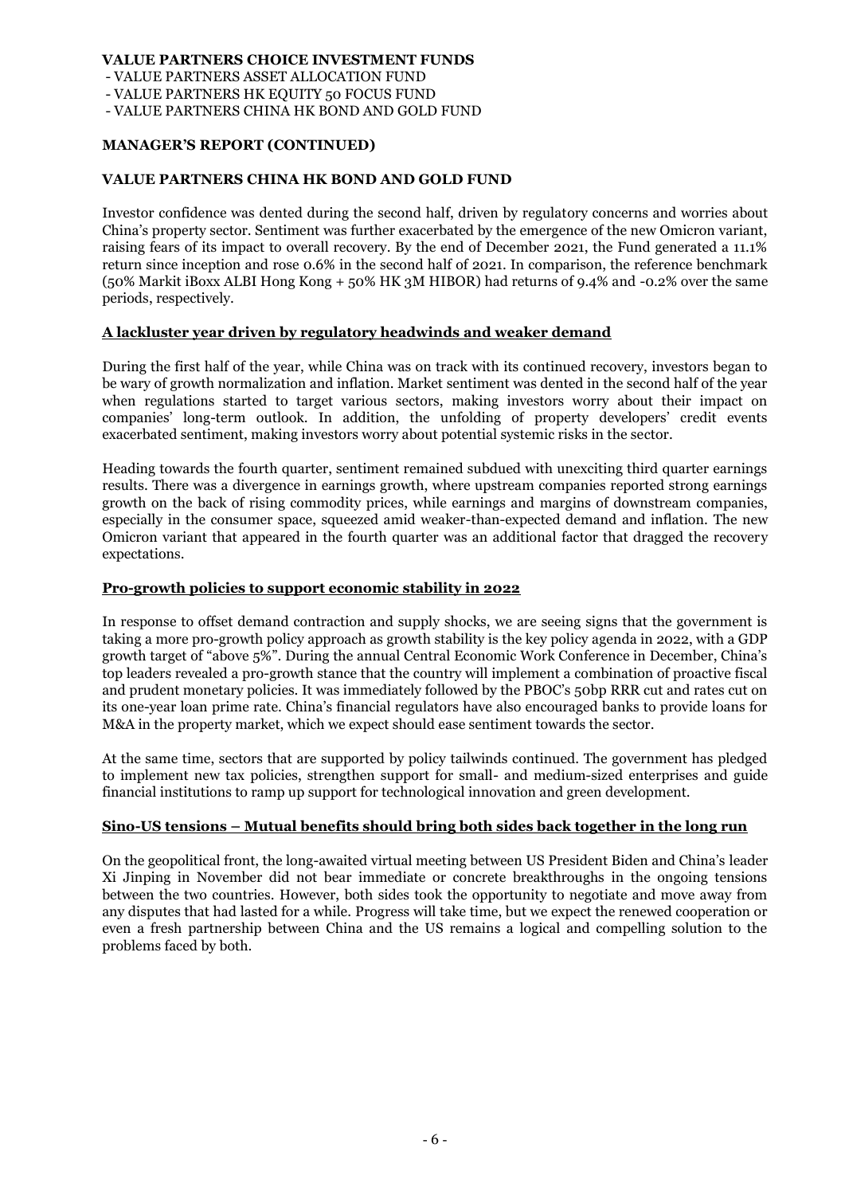- VALUE PARTNERS ASSET ALLOCATION FUND

- VALUE PARTNERS HK EQUITY 50 FOCUS FUND

- VALUE PARTNERS CHINA HK BOND AND GOLD FUND

### **MANAGER'S REPORT (CONTINUED)**

### **VALUE PARTNERS CHINA HK BOND AND GOLD FUND**

Investor confidence was dented during the second half, driven by regulatory concerns and worries about China's property sector. Sentiment was further exacerbated by the emergence of the new Omicron variant, raising fears of its impact to overall recovery. By the end of December 2021, the Fund generated a 11.1% return since inception and rose 0.6% in the second half of 2021. In comparison, the reference benchmark (50% Markit iBoxx ALBI Hong Kong + 50% HK 3M HIBOR) had returns of 9.4% and -0.2% over the same periods, respectively.

### **A lackluster year driven by regulatory headwinds and weaker demand**

During the first half of the year, while China was on track with its continued recovery, investors began to be wary of growth normalization and inflation. Market sentiment was dented in the second half of the year when regulations started to target various sectors, making investors worry about their impact on companies' long-term outlook. In addition, the unfolding of property developers' credit events exacerbated sentiment, making investors worry about potential systemic risks in the sector.

Heading towards the fourth quarter, sentiment remained subdued with unexciting third quarter earnings results. There was a divergence in earnings growth, where upstream companies reported strong earnings growth on the back of rising commodity prices, while earnings and margins of downstream companies, especially in the consumer space, squeezed amid weaker-than-expected demand and inflation. The new Omicron variant that appeared in the fourth quarter was an additional factor that dragged the recovery expectations.

#### **Pro-growth policies to support economic stability in 2022**

In response to offset demand contraction and supply shocks, we are seeing signs that the government is taking a more pro-growth policy approach as growth stability is the key policy agenda in 2022, with a GDP growth target of "above 5%". During the annual Central Economic Work Conference in December, China's top leaders revealed a pro-growth stance that the country will implement a combination of proactive fiscal and prudent monetary policies. It was immediately followed by the PBOC's 50bp RRR cut and rates cut on its one-year loan prime rate. China's financial regulators have also encouraged banks to provide loans for M&A in the property market, which we expect should ease sentiment towards the sector.

At the same time, sectors that are supported by policy tailwinds continued. The government has pledged to implement new tax policies, strengthen support for small- and medium-sized enterprises and guide financial institutions to ramp up support for technological innovation and green development.

## **Sino-US tensions – Mutual benefits should bring both sides back together in the long run**

On the geopolitical front, the long-awaited virtual meeting between US President Biden and China's leader Xi Jinping in November did not bear immediate or concrete breakthroughs in the ongoing tensions between the two countries. However, both sides took the opportunity to negotiate and move away from any disputes that had lasted for a while. Progress will take time, but we expect the renewed cooperation or even a fresh partnership between China and the US remains a logical and compelling solution to the problems faced by both.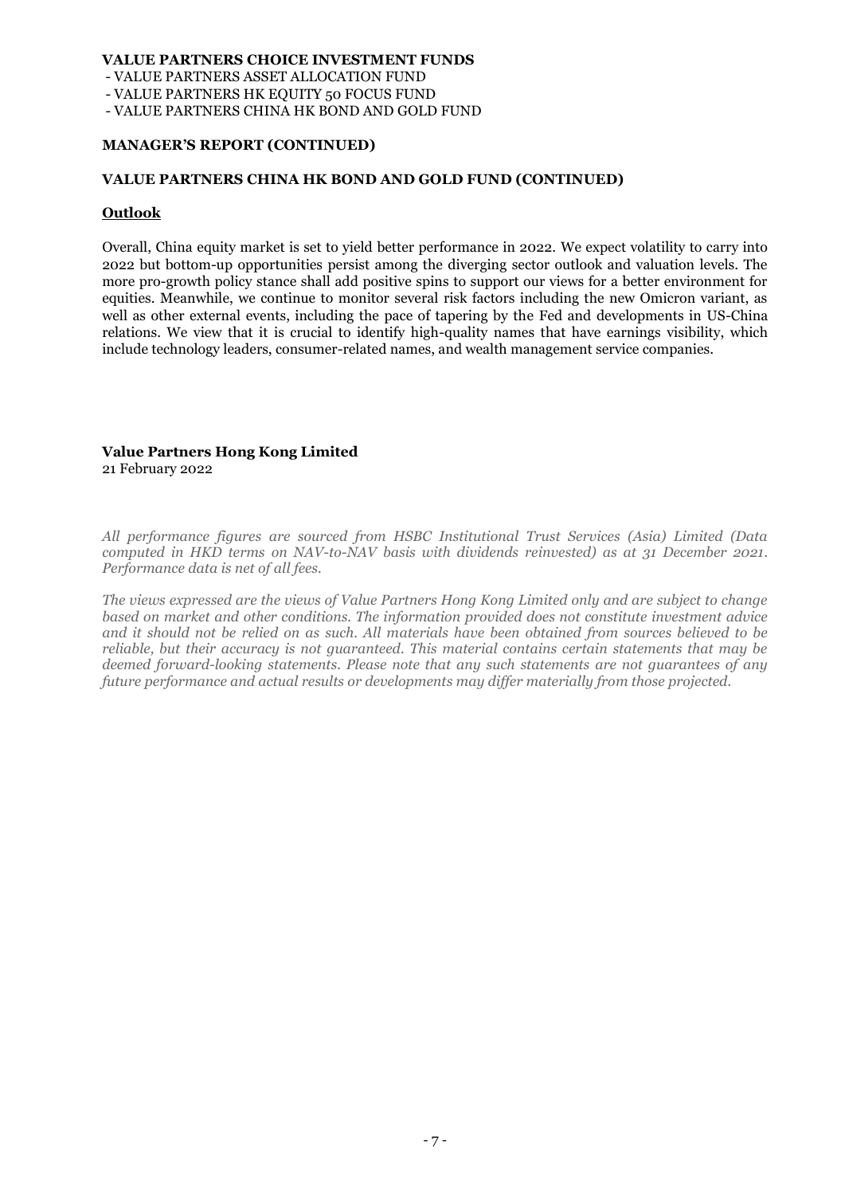- VALUE PARTNERS ASSET ALLOCATION FUND

- VALUE PARTNERS HK EQUITY 50 FOCUS FUND

- VALUE PARTNERS CHINA HK BOND AND GOLD FUND

#### **MANAGER'S REPORT (CONTINUED)**

#### **VALUE PARTNERS CHINA HK BOND AND GOLD FUND (CONTINUED)**

#### **Outlook**

Overall, China equity market is set to yield better performance in 2022. We expect volatility to carry into 2022 but bottom-up opportunities persist among the diverging sector outlook and valuation levels. The more pro-growth policy stance shall add positive spins to support our views for a better environment for equities. Meanwhile, we continue to monitor several risk factors including the new Omicron variant, as well as other external events, including the pace of tapering by the Fed and developments in US-China relations. We view that it is crucial to identify high-quality names that have earnings visibility, which include technology leaders, consumer-related names, and wealth management service companies.

## **Value Partners Hong Kong Limited**

21 February 2022

*All performance figures are sourced from HSBC Institutional Trust Services (Asia) Limited (Data computed in HKD terms on NAV-to-NAV basis with dividends reinvested) as at 31 December 2021. Performance data is net of all fees.*

*The views expressed are the views of Value Partners Hong Kong Limited only and are subject to change based on market and other conditions. The information provided does not constitute investment advice and it should not be relied on as such. All materials have been obtained from sources believed to be reliable, but their accuracy is not guaranteed. This material contains certain statements that may be deemed forward-looking statements. Please note that any such statements are not guarantees of any future performance and actual results or developments may differ materially from those projected.*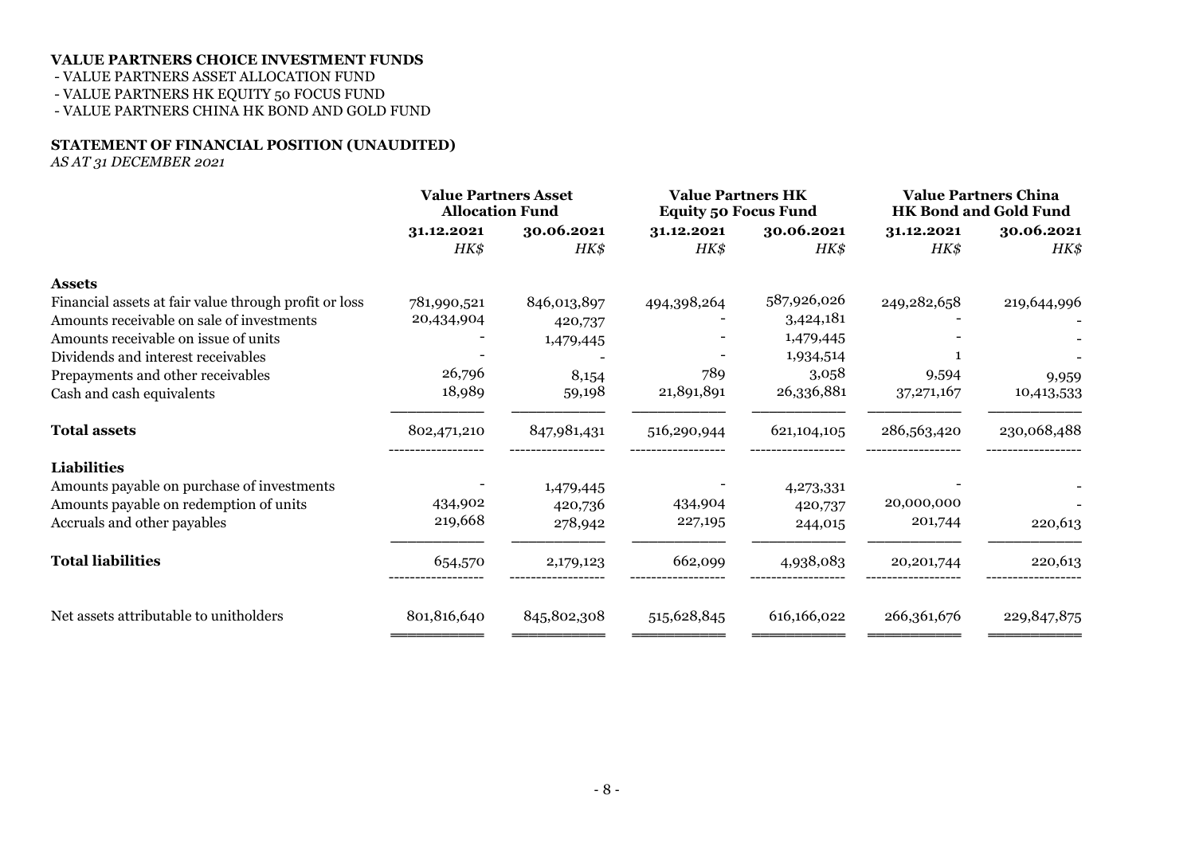### - VALUE PARTNERS ASSET ALLOCATION FUND

- VALUE PARTNERS HK EQUITY 50 FOCUS FUND

- VALUE PARTNERS CHINA HK BOND AND GOLD FUND

### **STATEMENT OF FINANCIAL POSITION (UNAUDITED)**

*AS AT 31 DECEMBER 2021*

|                                                       | <b>Value Partners Asset</b><br><b>Allocation Fund</b> |             | <b>Value Partners HK</b><br><b>Equity 50 Focus Fund</b> |               | <b>Value Partners China</b><br><b>HK Bond and Gold Fund</b> |               |  |
|-------------------------------------------------------|-------------------------------------------------------|-------------|---------------------------------------------------------|---------------|-------------------------------------------------------------|---------------|--|
|                                                       | 31.12.2021                                            | 30.06.2021  | 31.12.2021                                              | 30.06.2021    | 31.12.2021                                                  | 30.06.2021    |  |
|                                                       | HK\$                                                  | HK\$        | HK\$                                                    | HK\$          | HK\$                                                        | HK\$          |  |
| <b>Assets</b>                                         |                                                       |             |                                                         |               |                                                             |               |  |
| Financial assets at fair value through profit or loss | 781,990,521                                           | 846,013,897 | 494,398,264                                             | 587,926,026   | 249,282,658                                                 | 219,644,996   |  |
| Amounts receivable on sale of investments             | 20,434,904                                            | 420,737     |                                                         | 3,424,181     |                                                             |               |  |
| Amounts receivable on issue of units                  |                                                       | 1,479,445   |                                                         | 1,479,445     |                                                             |               |  |
| Dividends and interest receivables                    |                                                       |             |                                                         | 1,934,514     |                                                             |               |  |
| Prepayments and other receivables                     | 26,796                                                | 8,154       | 789                                                     | 3,058         | 9,594                                                       | 9,959         |  |
| Cash and cash equivalents                             | 18,989                                                | 59,198      | 21,891,891                                              | 26,336,881    | 37, 271, 167                                                | 10,413,533    |  |
| <b>Total assets</b>                                   | 802,471,210                                           | 847,981,431 | 516,290,944                                             | 621, 104, 105 | 286,563,420                                                 | 230,068,488   |  |
| <b>Liabilities</b>                                    |                                                       |             |                                                         |               |                                                             |               |  |
| Amounts payable on purchase of investments            |                                                       | 1,479,445   |                                                         | 4,273,331     |                                                             |               |  |
| Amounts payable on redemption of units                | 434,902                                               | 420,736     | 434,904                                                 | 420,737       | 20,000,000                                                  |               |  |
| Accruals and other payables                           | 219,668                                               | 278,942     | 227,195                                                 | 244,015       | 201,744                                                     | 220,613       |  |
| <b>Total liabilities</b>                              | 654,570                                               | 2,179,123   | 662,099                                                 | 4,938,083     | 20,201,744                                                  | 220,613       |  |
| Net assets attributable to unitholders                | 801,816,640                                           | 845,802,308 | 515,628,845                                             | 616,166,022   | 266,361,676                                                 | 229, 847, 875 |  |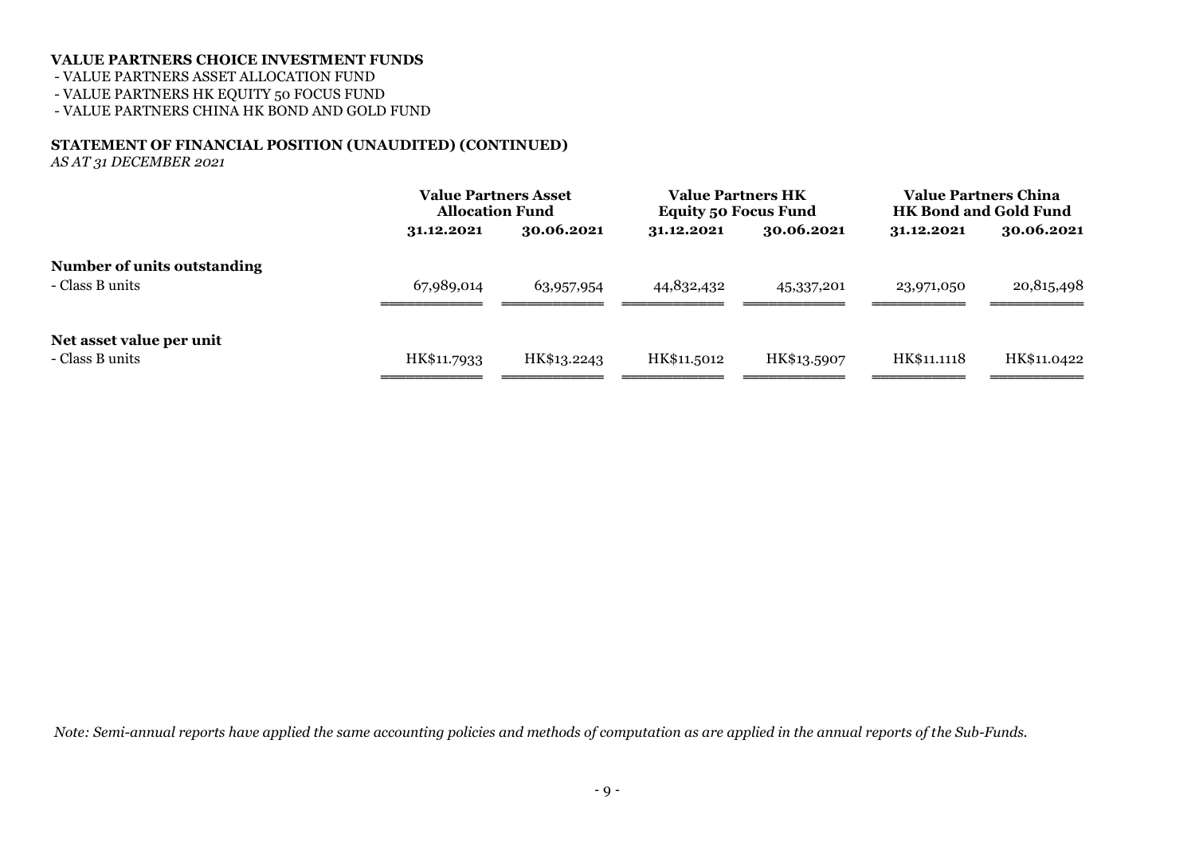- VALUE PARTNERS ASSET ALLOCATION FUND

- VALUE PARTNERS HK EQUITY 50 FOCUS FUND

- VALUE PARTNERS CHINA HK BOND AND GOLD FUND

### **STATEMENT OF FINANCIAL POSITION (UNAUDITED) (CONTINUED)**

*AS AT 31 DECEMBER 2021*

|                                                |             | <b>Value Partners Asset</b><br><b>Allocation Fund</b> |             | <b>Value Partners HK</b><br><b>Equity 50 Focus Fund</b> | <b>Value Partners China</b><br><b>HK Bond and Gold Fund</b> |             |
|------------------------------------------------|-------------|-------------------------------------------------------|-------------|---------------------------------------------------------|-------------------------------------------------------------|-------------|
|                                                | 31.12.2021  | 30.06.2021                                            | 31.12.2021  | 30.06.2021                                              | 31.12.2021                                                  | 30.06.2021  |
| Number of units outstanding<br>- Class B units | 67,989,014  | 63,957,954                                            | 44,832,432  | 45,337,201                                              | 23,971,050                                                  | 20,815,498  |
| Net asset value per unit<br>- Class B units    | HK\$11.7933 | HK\$13.2243                                           | HK\$11.5012 | HK\$13.5907                                             | HK\$11.1118                                                 | HK\$11.0422 |

*Note: Semi-annual reports have applied the same accounting policies and methods of computation as are applied in the annual reports of the Sub-Funds.*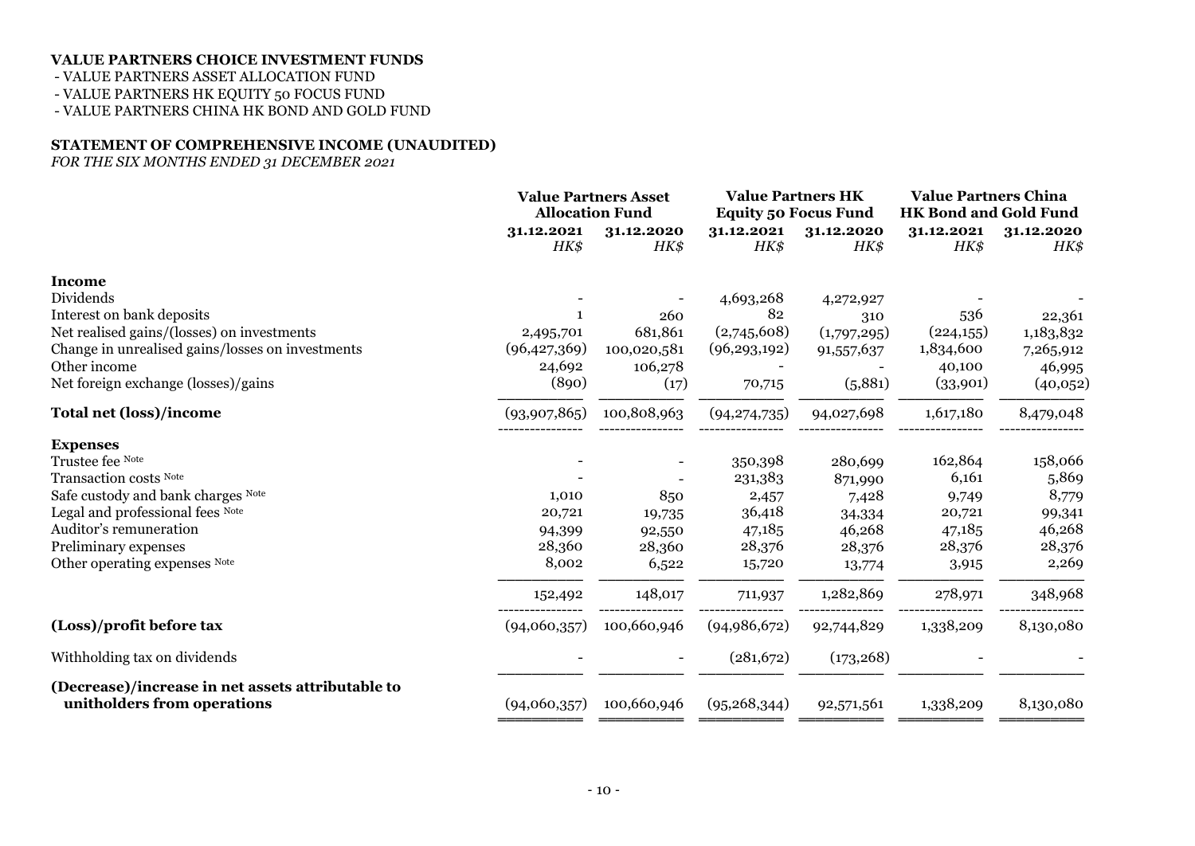- VALUE PARTNERS ASSET ALLOCATION FUND

- VALUE PARTNERS HK EQUITY 50 FOCUS FUND

- VALUE PARTNERS CHINA HK BOND AND GOLD FUND

#### **STATEMENT OF COMPREHENSIVE INCOME (UNAUDITED)**

*FOR THE SIX MONTHS ENDED 31 DECEMBER 2021*

|                                                                                  | <b>Value Partners Asset</b><br><b>Allocation Fund</b> |             | <b>Value Partners HK</b>    |             | <b>Value Partners China</b>  |            |
|----------------------------------------------------------------------------------|-------------------------------------------------------|-------------|-----------------------------|-------------|------------------------------|------------|
|                                                                                  |                                                       |             | <b>Equity 50 Focus Fund</b> |             | <b>HK Bond and Gold Fund</b> |            |
|                                                                                  | 31.12.2021                                            | 31.12.2020  | 31.12.2021                  | 31.12.2020  | 31.12.2021                   | 31.12.2020 |
|                                                                                  | HK\$                                                  | HK\$        | HK\$                        | HK\$        | HK\$                         | HK\$       |
| <b>Income</b>                                                                    |                                                       |             |                             |             |                              |            |
| Dividends                                                                        |                                                       |             | 4,693,268                   | 4,272,927   |                              |            |
| Interest on bank deposits                                                        |                                                       | 260         | 82                          | 310         | 536                          | 22,361     |
| Net realised gains/(losses) on investments                                       | 2,495,701                                             | 681,861     | (2,745,608)                 | (1,797,295) | (224,155)                    | 1,183,832  |
| Change in unrealised gains/losses on investments                                 | (96,427,369)                                          | 100,020,581 | (96, 293, 192)              | 91,557,637  | 1,834,600                    | 7,265,912  |
| Other income                                                                     | 24,692                                                | 106,278     |                             |             | 40,100                       | 46,995     |
| Net foreign exchange (losses)/gains                                              | (890)                                                 | (17)        | 70,715                      | (5,881)     | (33,901)                     | (40,052)   |
| <b>Total net (loss)/income</b>                                                   | (93,907,865)                                          | 100,808,963 | (94, 274, 735)              | 94,027,698  | 1,617,180                    | 8,479,048  |
| <b>Expenses</b>                                                                  |                                                       |             |                             |             |                              |            |
| Trustee fee Note                                                                 |                                                       |             | 350,398                     | 280,699     | 162,864                      | 158,066    |
| Transaction costs Note                                                           |                                                       |             | 231,383                     | 871,990     | 6,161                        | 5,869      |
| Safe custody and bank charges Note                                               | 1,010                                                 | 850         | 2,457                       | 7,428       | 9,749                        | 8,779      |
| Legal and professional fees Note                                                 | 20,721                                                | 19,735      | 36,418                      | 34,334      | 20,721                       | 99,341     |
| Auditor's remuneration                                                           | 94,399                                                | 92,550      | 47,185                      | 46,268      | 47,185                       | 46,268     |
| Preliminary expenses                                                             | 28,360                                                | 28,360      | 28,376                      | 28,376      | 28,376                       | 28,376     |
| Other operating expenses Note                                                    | 8,002                                                 | 6,522       | 15,720                      | 13,774      | 3,915                        | 2,269      |
|                                                                                  | 152,492                                               | 148,017     | 711,937                     | 1,282,869   | 278,971                      | 348,968    |
| (Loss)/profit before tax                                                         | (94,060,357)                                          | 100,660,946 | (94,986,672)                | 92,744,829  | 1,338,209                    | 8,130,080  |
| Withholding tax on dividends                                                     |                                                       |             | (281,672)                   | (173, 268)  |                              |            |
| (Decrease)/increase in net assets attributable to<br>unitholders from operations | (94,060,357)                                          | 100,660,946 | (95, 268, 344)              | 92,571,561  | 1,338,209                    | 8,130,080  |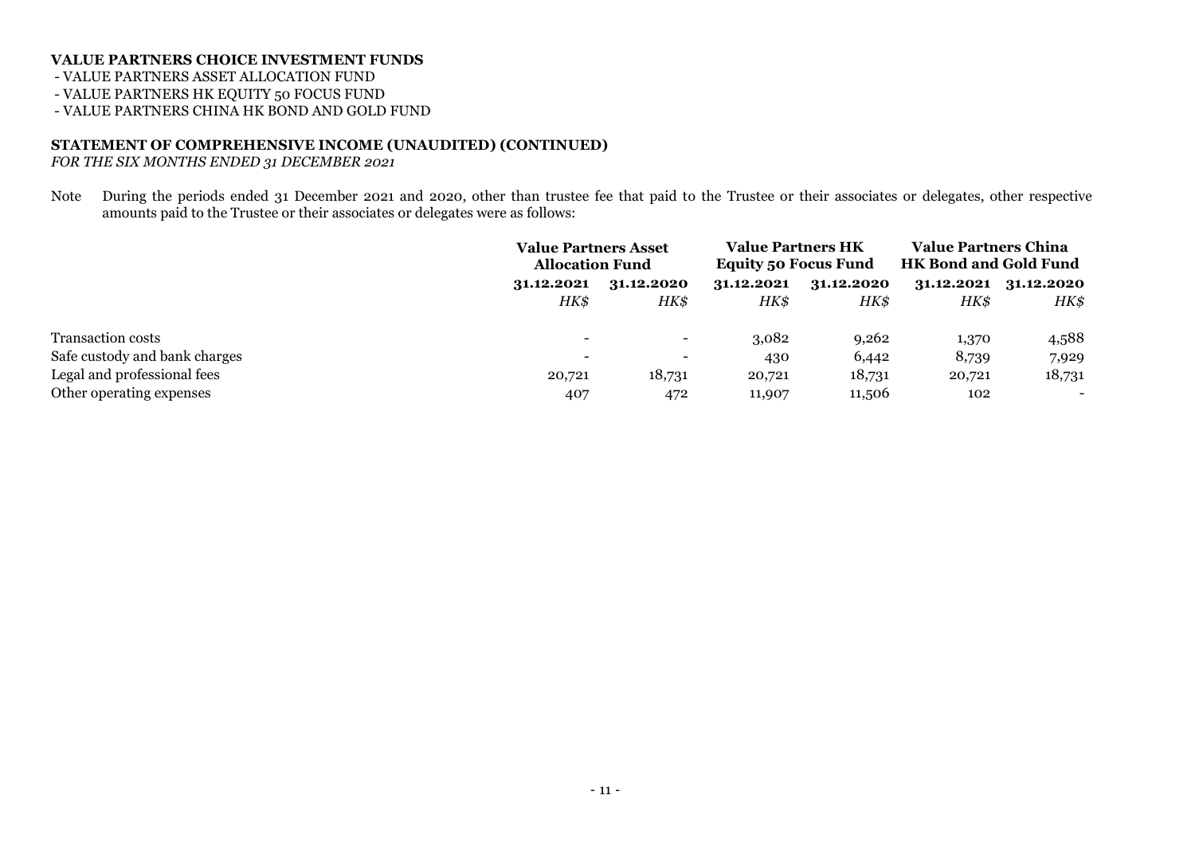- VALUE PARTNERS ASSET ALLOCATION FUND

- VALUE PARTNERS HK EQUITY 50 FOCUS FUND

- VALUE PARTNERS CHINA HK BOND AND GOLD FUND

#### **STATEMENT OF COMPREHENSIVE INCOME (UNAUDITED) (CONTINUED)**

*FOR THE SIX MONTHS ENDED 31 DECEMBER 2021*

Note During the periods ended 31 December 2021 and 2020, other than trustee fee that paid to the Trustee or their associates or delegates, other respective amounts paid to the Trustee or their associates or delegates were as follows:

|                               | <b>Value Partners Asset</b><br><b>Allocation Fund</b> |                          | <b>Value Partners HK</b><br><b>Equity 50 Focus Fund</b> |            | <b>Value Partners China</b><br><b>HK Bond and Gold Fund</b> |            |
|-------------------------------|-------------------------------------------------------|--------------------------|---------------------------------------------------------|------------|-------------------------------------------------------------|------------|
|                               | 31.12.2020<br>31.12.2021                              |                          | 31.12.2021                                              | 31.12.2020 | 31.12.2021                                                  | 31.12.2020 |
|                               | HK\$                                                  | HK\$                     | HK\$                                                    | HK\$       | HK\$                                                        | HK\$       |
| <b>Transaction costs</b>      | $\overline{\phantom{m}}$                              | $\overline{\phantom{a}}$ | 3,082                                                   | 9,262      | 1,370                                                       | 4,588      |
| Safe custody and bank charges | $\qquad \qquad \blacksquare$                          | $\overline{\phantom{0}}$ | 430                                                     | 6,442      | 8,739                                                       | 7,929      |
| Legal and professional fees   | 20,721                                                | 18,731                   | 20,721                                                  | 18,731     | 20,721                                                      | 18,731     |
| Other operating expenses      | 407                                                   | 472                      | 11,907                                                  | 11,506     | 102                                                         | $\sim$     |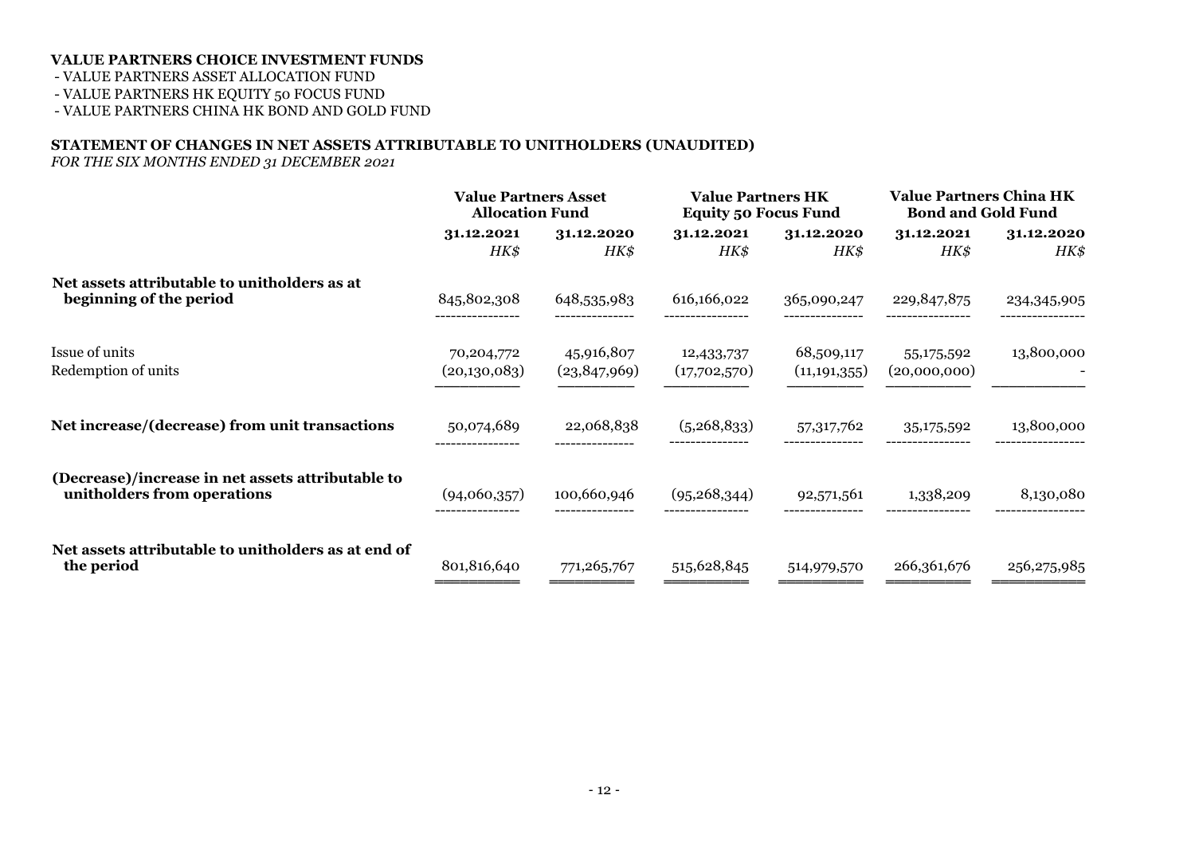- VALUE PARTNERS ASSET ALLOCATION FUND

- VALUE PARTNERS HK EQUITY 50 FOCUS FUND

- VALUE PARTNERS CHINA HK BOND AND GOLD FUND

#### **STATEMENT OF CHANGES IN NET ASSETS ATTRIBUTABLE TO UNITHOLDERS (UNAUDITED)**

*FOR THE SIX MONTHS ENDED 31 DECEMBER 2021*

|                                                                                  | <b>Value Partners Asset</b><br><b>Allocation Fund</b> |                              | <b>Value Partners HK</b><br><b>Equity 50 Focus Fund</b> |                              | <b>Value Partners China HK</b><br><b>Bond and Gold Fund</b> |               |  |
|----------------------------------------------------------------------------------|-------------------------------------------------------|------------------------------|---------------------------------------------------------|------------------------------|-------------------------------------------------------------|---------------|--|
|                                                                                  | 31.12.2021                                            | 31.12.2020                   | 31.12.2021                                              | 31.12.2020                   | 31.12.2021                                                  | 31.12.2020    |  |
|                                                                                  | HK\$                                                  | HK\$                         | HK\$                                                    | HK\$                         | HK\$                                                        | HK\$          |  |
| Net assets attributable to unitholders as at<br>beginning of the period          | 845,802,308                                           | 648,535,983                  | 616,166,022                                             | 365,090,247                  | 229,847,875                                                 | 234,345,905   |  |
| Issue of units<br>Redemption of units                                            | 70,204,772<br>(20,130,083)                            | 45,916,807<br>(23, 847, 969) | 12,433,737<br>(17,702,570)                              | 68,509,117<br>(11, 191, 355) | 55,175,592<br>(20,000,000)                                  | 13,800,000    |  |
| Net increase/(decrease) from unit transactions                                   | 50,074,689                                            | 22,068,838                   | (5,268,833)                                             | 57,317,762                   | 35,175,592                                                  | 13,800,000    |  |
| (Decrease)/increase in net assets attributable to<br>unitholders from operations | (94,060,357)                                          | 100,660,946                  | (95, 268, 344)                                          | 92,571,561                   | 1,338,209                                                   | 8,130,080     |  |
| Net assets attributable to unitholders as at end of<br>the period                | 801,816,640                                           | 771,265,767                  | 515,628,845                                             | 514,979,570                  | 266,361,676                                                 | 256, 275, 985 |  |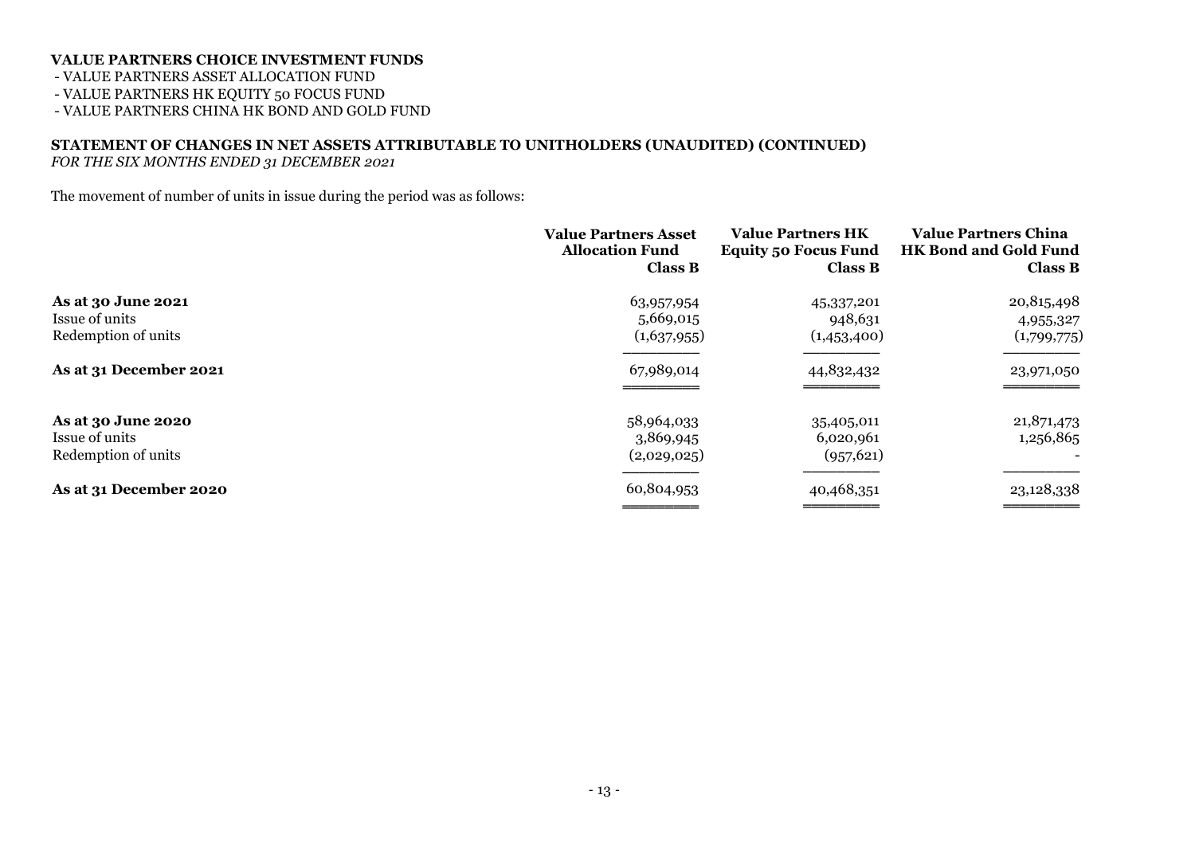- VALUE PARTNERS ASSET ALLOCATION FUND

- VALUE PARTNERS HK EQUITY 50 FOCUS FUND

- VALUE PARTNERS CHINA HK BOND AND GOLD FUND

# **STATEMENT OF CHANGES IN NET ASSETS ATTRIBUTABLE TO UNITHOLDERS (UNAUDITED) (CONTINUED)**

*FOR THE SIX MONTHS ENDED 31 DECEMBER 2021*

The movement of number of units in issue during the period was as follows:

|                                                             | <b>Value Partners Asset</b><br><b>Allocation Fund</b><br><b>Class B</b> | <b>Value Partners HK</b><br><b>Equity 50 Focus Fund</b><br><b>Class B</b> | <b>Value Partners China</b><br><b>HK Bond and Gold Fund</b><br><b>Class B</b> |
|-------------------------------------------------------------|-------------------------------------------------------------------------|---------------------------------------------------------------------------|-------------------------------------------------------------------------------|
| As at 30 June 2021<br>Issue of units<br>Redemption of units | 63,957,954<br>5,669,015<br>(1,637,955)                                  | 45,337,201<br>948,631<br>(1,453,400)                                      | 20,815,498<br>4,955,327<br>(1,799,775)                                        |
| As at 31 December 2021                                      | 67,989,014                                                              | 44,832,432                                                                | 23,971,050                                                                    |
| As at 30 June 2020<br>Issue of units<br>Redemption of units | 58,964,033<br>3,869,945<br>(2,029,025)                                  | 35,405,011<br>6,020,961<br>(957, 621)                                     | 21,871,473<br>1,256,865                                                       |
| As at 31 December 2020                                      | 60,804,953                                                              | 40,468,351                                                                | 23,128,338                                                                    |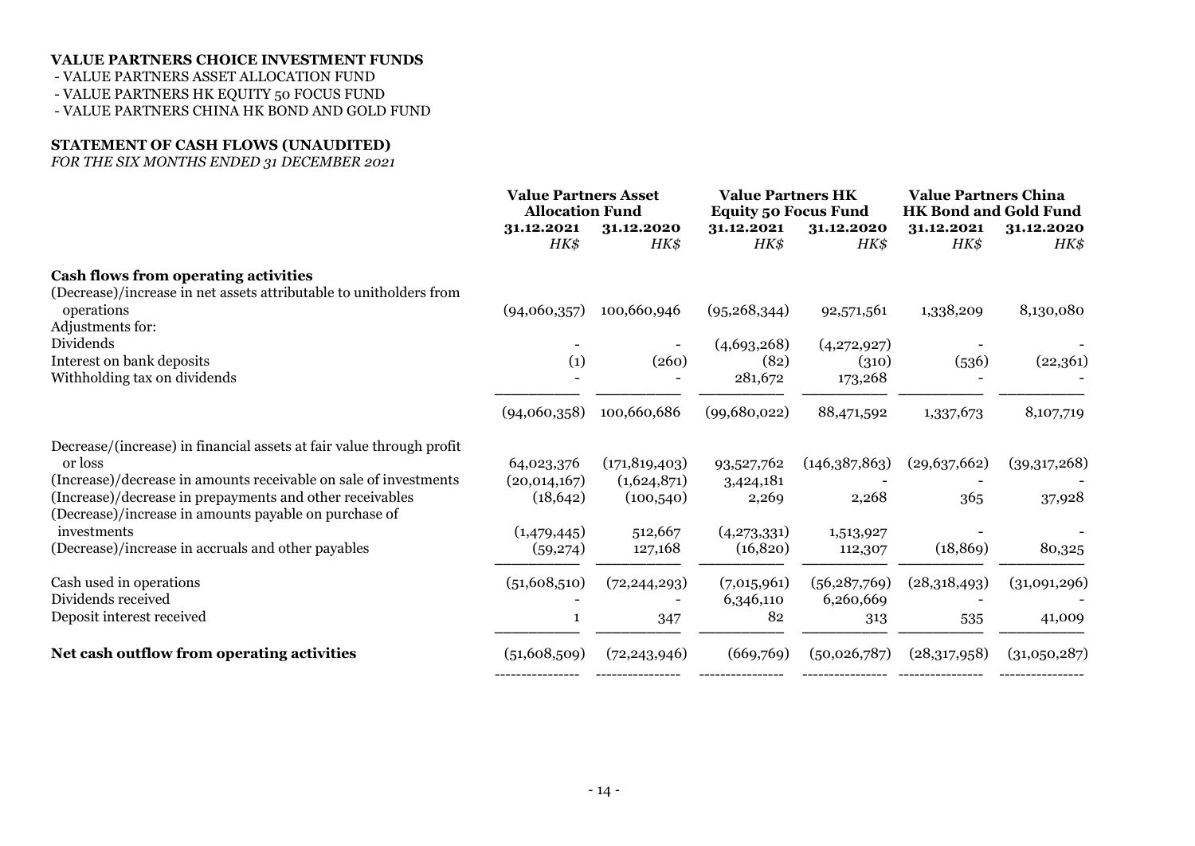- VALUE PARTNERS ASSET ALLOCATION FUND

- VALUE PARTNERS HK EQUITY 50 FOCUS FUND

- VALUE PARTNERS CHINA HK BOND AND GOLD FUND

#### **STATEMENT OF CASH FLOWS (UNAUDITED)**

*FOR THE SIX MONTHS ENDED 31 DECEMBER 2021*

|                                                                                                                                                     | <b>Value Partners Asset</b><br><b>Allocation Fund</b> |                           | <b>Value Partners HK</b><br><b>Equity 50 Focus Fund</b> |                             | <b>Value Partners China</b><br><b>HK Bond and Gold Fund</b> |                    |
|-----------------------------------------------------------------------------------------------------------------------------------------------------|-------------------------------------------------------|---------------------------|---------------------------------------------------------|-----------------------------|-------------------------------------------------------------|--------------------|
|                                                                                                                                                     | 31.12.2021<br>HK\$                                    | 31.12.2020<br>HK\$        | 31.12.2021<br>HK\$                                      | 31.12.2020<br>HK\$          | 31.12.2021<br>HK\$                                          | 31.12.2020<br>HK\$ |
| <b>Cash flows from operating activities</b><br>(Decrease)/increase in net assets attributable to unitholders from                                   |                                                       |                           |                                                         |                             |                                                             |                    |
| operations                                                                                                                                          | (94,060,357)                                          | 100,660,946               | (95, 268, 344)                                          | 92,571,561                  | 1,338,209                                                   | 8,130,080          |
| Adjustments for:<br>Dividends                                                                                                                       |                                                       |                           | (4,693,268)                                             | (4,272,927)                 |                                                             |                    |
| Interest on bank deposits<br>Withholding tax on dividends                                                                                           | (1)                                                   | (260)                     | (82)<br>281,672                                         | (310)<br>173,268            | (536)                                                       | (22,361)           |
|                                                                                                                                                     | (94,060,358)                                          | 100,660,686               | (99,680,022)                                            | 88,471,592                  | 1,337,673                                                   | 8,107,719          |
| Decrease/(increase) in financial assets at fair value through profit<br>or loss<br>(Increase)/decrease in amounts receivable on sale of investments | 64,023,376                                            | (171, 819, 403)           | 93,527,762                                              | (146,387,863)               | (29,637,662)                                                | (39,317,268)       |
| (Increase)/decrease in prepayments and other receivables<br>(Decrease)/increase in amounts payable on purchase of                                   | (20,014,167)<br>(18, 642)                             | (1,624,871)<br>(100, 540) | 3,424,181<br>2,269                                      | 2,268                       | 365                                                         | 37,928             |
| investments                                                                                                                                         | (1,479,445)                                           | 512,667                   | (4,273,331)                                             | 1,513,927                   |                                                             |                    |
| (Decrease)/increase in accruals and other payables                                                                                                  | (59,274)                                              | 127,168                   | (16, 820)                                               | 112,307                     | (18, 869)                                                   | 80,325             |
| Cash used in operations<br>Dividends received                                                                                                       | (51,608,510)                                          | (72, 244, 293)            | (7,015,961)<br>6,346,110                                | (56, 287, 769)<br>6,260,669 | (28,318,493)                                                | (31,091,296)       |
| Deposit interest received                                                                                                                           |                                                       | 347                       | 82                                                      | 313                         | 535                                                         | 41,009             |
| Net cash outflow from operating activities                                                                                                          | (51,608,509)                                          | (72, 243, 946)            | (669,769)                                               | (50,026,787)                | (28,317,958)                                                | (31,050,287)       |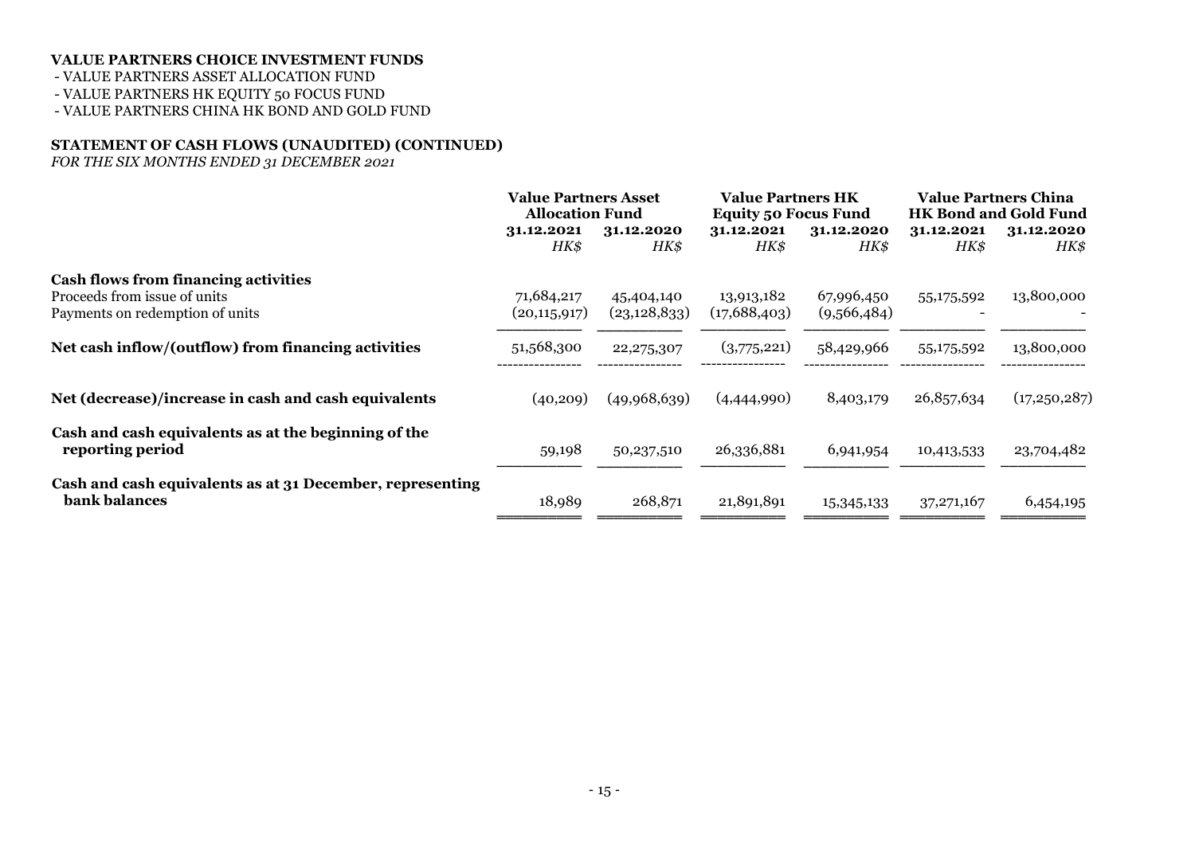- VALUE PARTNERS ASSET ALLOCATION FUND

- VALUE PARTNERS HK EQUITY 50 FOCUS FUND

- VALUE PARTNERS CHINA HK BOND AND GOLD FUND

### **STATEMENT OF CASH FLOWS (UNAUDITED) (CONTINUED)**

*FOR THE SIX MONTHS ENDED 31 DECEMBER 2021*

| <b>Value Partners Asset</b><br><b>Allocation Fund</b> |                    | <b>Value Partners HK</b><br><b>Equity 50 Focus Fund</b> |                    | <b>Value Partners China</b><br><b>HK Bond and Gold Fund</b> |                    |
|-------------------------------------------------------|--------------------|---------------------------------------------------------|--------------------|-------------------------------------------------------------|--------------------|
| 31.12.2021<br>HK\$                                    | 31.12.2020<br>HK\$ | 31.12.2021<br>HK\$                                      | 31.12.2020<br>HK\$ | 31.12.2021<br>HK\$                                          | 31.12.2020<br>HK\$ |
|                                                       |                    |                                                         |                    |                                                             |                    |
| (20, 115, 917)                                        | (23, 128, 833)     | (17,688,403)                                            | (9,566,484)        |                                                             | 13,800,000         |
| 51,568,300                                            | 22, 275, 307       | (3,775,221)                                             | 58,429,966         | 55,175,592                                                  | 13,800,000         |
| (40, 209)                                             | (49,968,639)       | (4,444,990)                                             | 8,403,179          | 26,857,634                                                  | (17,250,287)       |
| 59,198                                                | 50,237,510         | 26,336,881                                              | 6,941,954          | 10,413,533                                                  | 23,704,482         |
| 18,989                                                | 268,871            | 21,891,891                                              | 15,345,133         | 37, 271, 167                                                | 6,454,195          |
|                                                       | 71,684,217         | 45,404,140                                              | 13,913,182         | 67,996,450                                                  | 55,175,592         |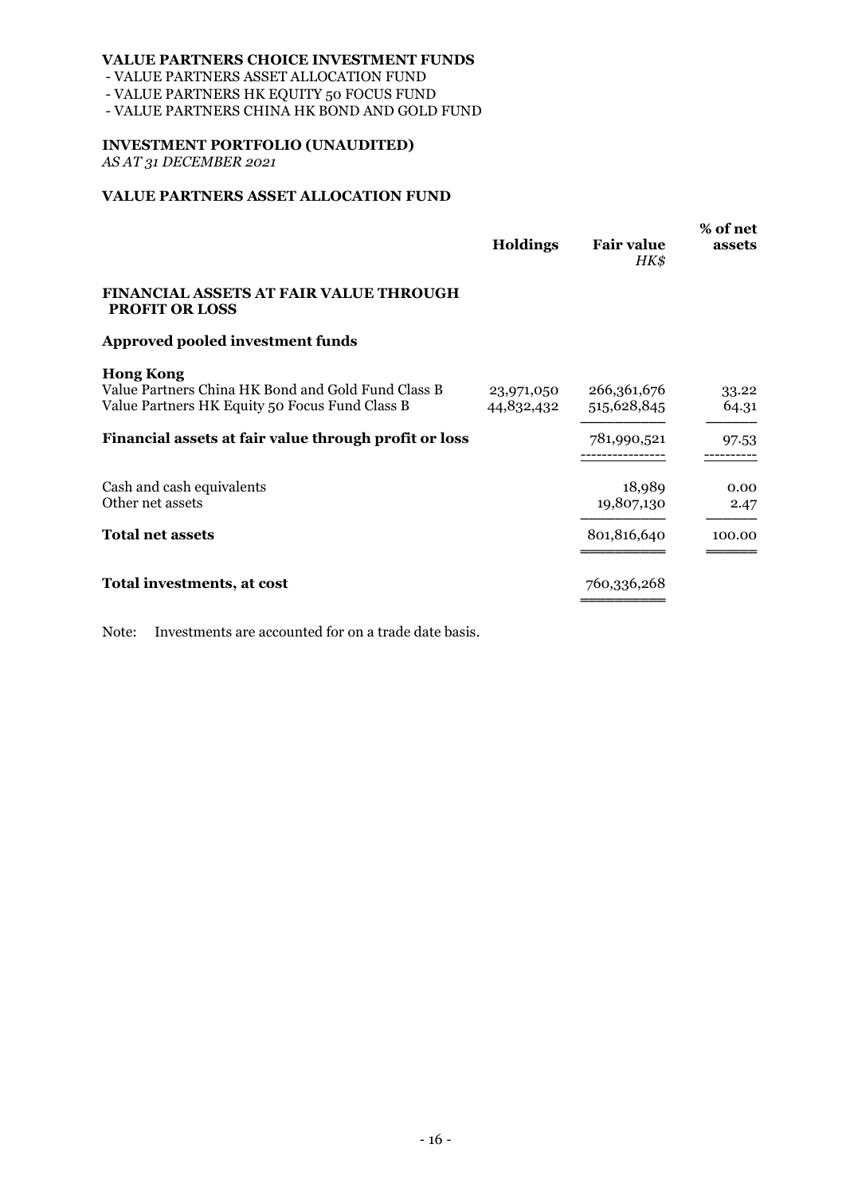- VALUE PARTNERS ASSET ALLOCATION FUND

- VALUE PARTNERS HK EQUITY 50 FOCUS FUND

- VALUE PARTNERS CHINA HK BOND AND GOLD FUND

#### **INVESTMENT PORTFOLIO (UNAUDITED)**

*AS AT 31 DECEMBER 2021*

### **VALUE PARTNERS ASSET ALLOCATION FUND**

|                                                                                                                          | <b>Holdings</b>          | <b>Fair value</b><br>HK\$  | % of net<br>assets |
|--------------------------------------------------------------------------------------------------------------------------|--------------------------|----------------------------|--------------------|
| <b>FINANCIAL ASSETS AT FAIR VALUE THROUGH</b><br><b>PROFIT OR LOSS</b>                                                   |                          |                            |                    |
| <b>Approved pooled investment funds</b>                                                                                  |                          |                            |                    |
| <b>Hong Kong</b><br>Value Partners China HK Bond and Gold Fund Class B<br>Value Partners HK Equity 50 Focus Fund Class B | 23,971,050<br>44,832,432 | 266,361,676<br>515,628,845 | 33.22<br>64.31     |
| Financial assets at fair value through profit or loss                                                                    |                          | 781,990,521                | 97.53              |
| Cash and cash equivalents<br>Other net assets                                                                            |                          | 18,989<br>19,807,130       | 0.00<br>2.47       |
| <b>Total net assets</b>                                                                                                  |                          | 801,816,640                | 100.00             |
| Total investments, at cost                                                                                               |                          | 760,336,268                |                    |

Note: Investments are accounted for on a trade date basis.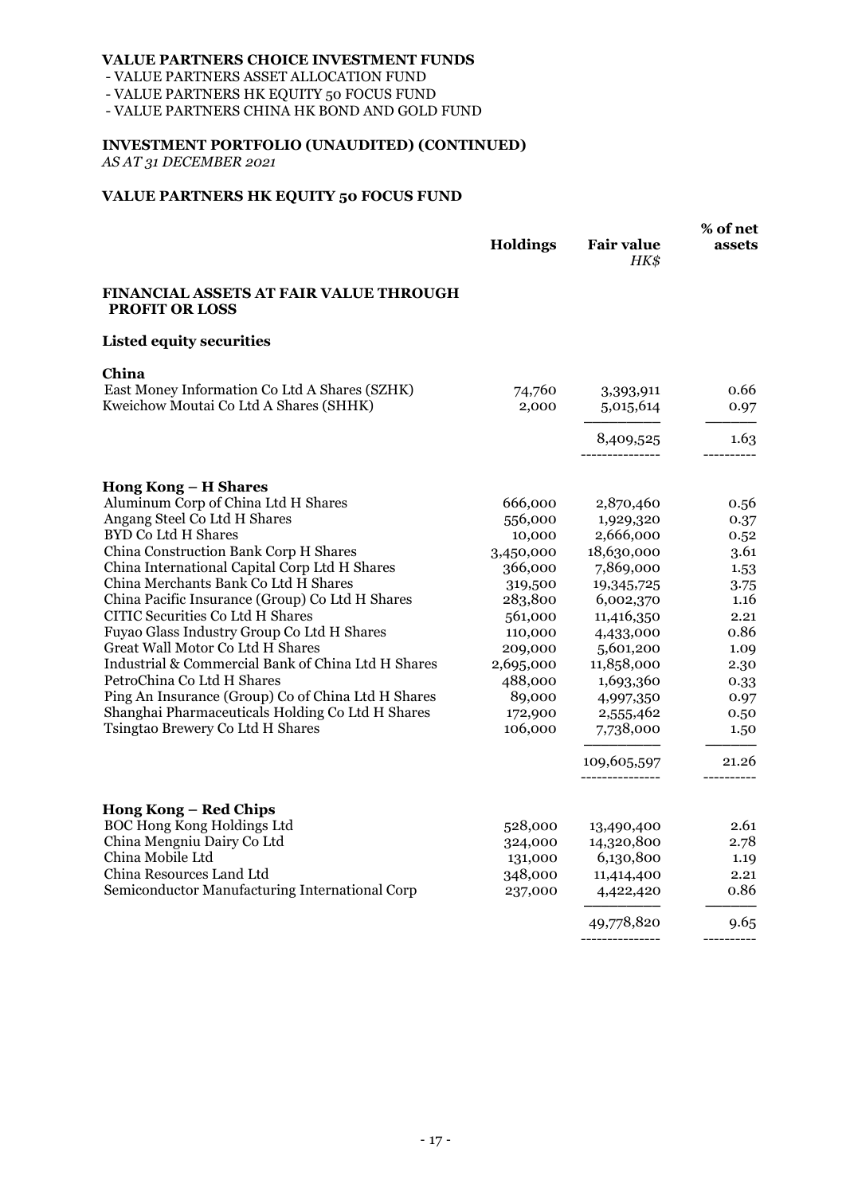- VALUE PARTNERS ASSET ALLOCATION FUND

- VALUE PARTNERS HK EQUITY 50 FOCUS FUND

- VALUE PARTNERS CHINA HK BOND AND GOLD FUND

# **INVESTMENT PORTFOLIO (UNAUDITED) (CONTINUED)**

*AS AT 31 DECEMBER 2021*

### **VALUE PARTNERS HK EQUITY 50 FOCUS FUND**

|                                                                                         | Holdings          | <b>Fair value</b><br>HK\$ | % of net<br>assets |
|-----------------------------------------------------------------------------------------|-------------------|---------------------------|--------------------|
| <b>FINANCIAL ASSETS AT FAIR VALUE THROUGH</b><br><b>PROFIT OR LOSS</b>                  |                   |                           |                    |
| <b>Listed equity securities</b>                                                         |                   |                           |                    |
| China                                                                                   |                   |                           |                    |
| East Money Information Co Ltd A Shares (SZHK)<br>Kweichow Moutai Co Ltd A Shares (SHHK) | 74,760<br>2,000   | 3,393,911<br>5,015,614    | 0.66<br>0.97       |
|                                                                                         |                   |                           |                    |
|                                                                                         |                   | 8,409,525                 | 1.63               |
| Hong Kong - H Shares                                                                    |                   |                           |                    |
| Aluminum Corp of China Ltd H Shares                                                     | 666,000           | 2,870,460                 | 0.56               |
| Angang Steel Co Ltd H Shares                                                            | 556,000           | 1,929,320                 | 0.37               |
| <b>BYD Co Ltd H Shares</b>                                                              | 10,000            | 2,666,000                 | 0.52               |
| China Construction Bank Corp H Shares                                                   | 3,450,000         | 18,630,000                | 3.61               |
| China International Capital Corp Ltd H Shares                                           | 366,000           | 7,869,000                 | 1.53               |
| China Merchants Bank Co Ltd H Shares                                                    | 319,500           | 19,345,725                | 3.75               |
| China Pacific Insurance (Group) Co Ltd H Shares                                         | 283,800           | 6,002,370                 | 1.16               |
| CITIC Securities Co Ltd H Shares                                                        | 561,000           | 11,416,350                | 2.21               |
| Fuyao Glass Industry Group Co Ltd H Shares                                              | 110,000           | 4,433,000                 | 0.86               |
| Great Wall Motor Co Ltd H Shares<br>Industrial & Commercial Bank of China Ltd H Shares  | 209,000           | 5,601,200                 | 1.09               |
| PetroChina Co Ltd H Shares                                                              | 2,695,000         | 11,858,000                | 2.30               |
| Ping An Insurance (Group) Co of China Ltd H Shares                                      | 488,000<br>89,000 | 1,693,360                 | 0.33               |
| Shanghai Pharmaceuticals Holding Co Ltd H Shares                                        | 172,900           | 4,997,350<br>2,555,462    | 0.97<br>0.50       |
| Tsingtao Brewery Co Ltd H Shares                                                        | 106,000           | 7,738,000                 | 1.50               |
|                                                                                         |                   | 109,605,597               | 21.26              |
|                                                                                         |                   |                           |                    |
| <b>Hong Kong – Red Chips</b>                                                            |                   |                           |                    |
| BOC Hong Kong Holdings Ltd                                                              | 528,000           | 13,490,400                | 2.61               |
| China Mengniu Dairy Co Ltd                                                              | 324,000           | 14,320,800                | 2.78               |
| China Mobile Ltd                                                                        | 131,000           | 6,130,800                 | 1.19               |
| China Resources Land Ltd                                                                | 348,000           | 11,414,400                | 2.21               |
| Semiconductor Manufacturing International Corp                                          | 237,000           | 4,422,420                 | 0.86               |
|                                                                                         |                   | 49,778,820                | 9.65               |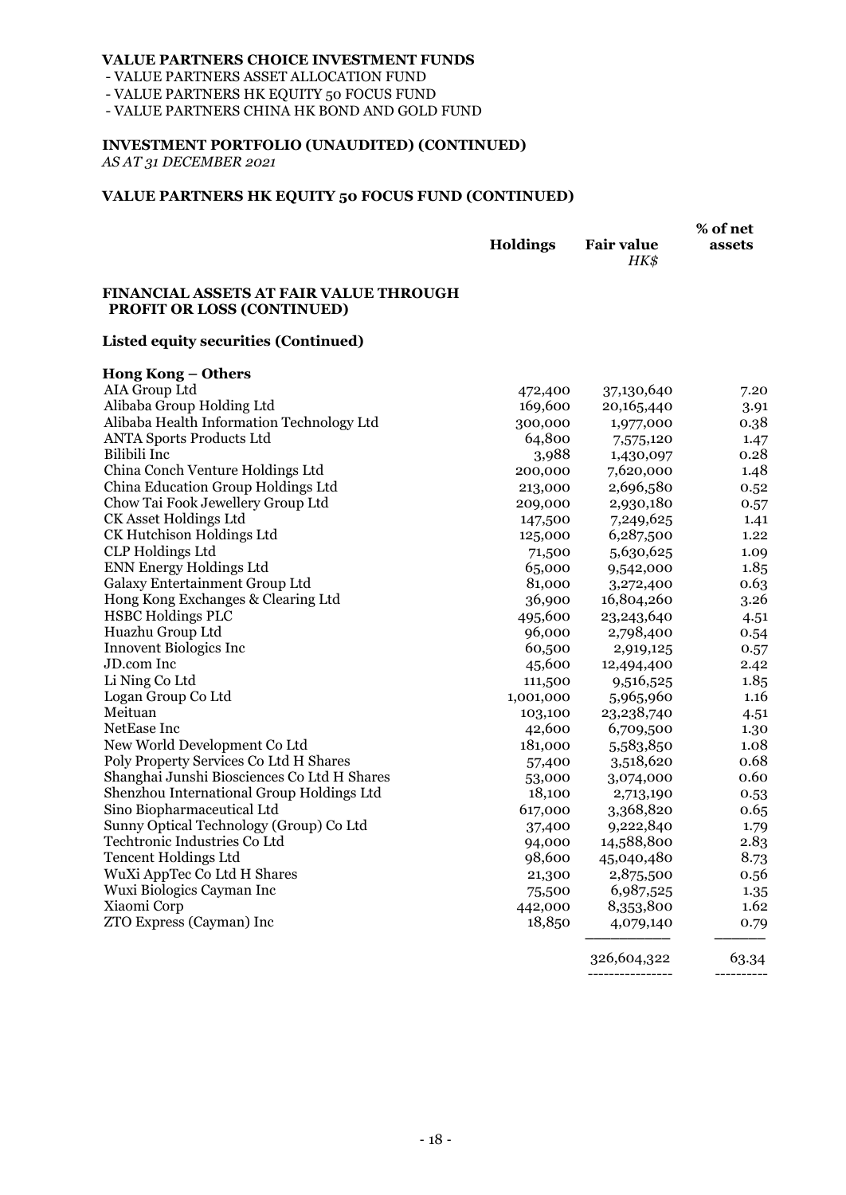- VALUE PARTNERS ASSET ALLOCATION FUND

- VALUE PARTNERS HK EQUITY 50 FOCUS FUND

- VALUE PARTNERS CHINA HK BOND AND GOLD FUND

# **INVESTMENT PORTFOLIO (UNAUDITED) (CONTINUED)**

*AS AT 31 DECEMBER 2021*

#### **VALUE PARTNERS HK EQUITY 50 FOCUS FUND (CONTINUED)**

|                 |                   | % of net |
|-----------------|-------------------|----------|
| <b>Holdings</b> | <b>Fair value</b> | assets   |
|                 | HK\$              |          |

#### **FINANCIAL ASSETS AT FAIR VALUE THROUGH PROFIT OR LOSS (CONTINUED)**

#### **Listed equity securities (Continued)**

| <b>Hong Kong - Others</b>                   |           |            |       |
|---------------------------------------------|-----------|------------|-------|
| AIA Group Ltd                               | 472,400   | 37,130,640 | 7.20  |
| Alibaba Group Holding Ltd                   | 169,600   | 20,165,440 | 3.91  |
| Alibaba Health Information Technology Ltd   | 300,000   | 1,977,000  | 0.38  |
| <b>ANTA Sports Products Ltd</b>             | 64,800    | 7,575,120  | 1.47  |
| Bilibili Inc                                | 3,988     | 1,430,097  | 0.28  |
| China Conch Venture Holdings Ltd            | 200,000   | 7,620,000  | 1.48  |
| China Education Group Holdings Ltd          | 213,000   | 2,696,580  | 0.52  |
| Chow Tai Fook Jewellery Group Ltd           | 209,000   | 2,930,180  | 0.57  |
| CK Asset Holdings Ltd                       | 147,500   | 7,249,625  | 1.41  |
| CK Hutchison Holdings Ltd                   | 125,000   | 6,287,500  | 1.22  |
| <b>CLP</b> Holdings Ltd                     | 71,500    | 5,630,625  | 1.09  |
| <b>ENN Energy Holdings Ltd</b>              | 65,000    | 9,542,000  | 1.85  |
| Galaxy Entertainment Group Ltd              | 81,000    | 3,272,400  | 0.63  |
| Hong Kong Exchanges & Clearing Ltd          | 36,900    | 16,804,260 | 3.26  |
| <b>HSBC Holdings PLC</b>                    | 495,600   | 23,243,640 | 4.51  |
| Huazhu Group Ltd                            | 96,000    | 2,798,400  | 0.54  |
| <b>Innovent Biologics Inc</b>               | 60,500    | 2,919,125  | 0.57  |
| <b>JD.com</b> Inc                           | 45,600    | 12,494,400 | 2.42  |
| Li Ning Co Ltd                              | 111,500   | 9,516,525  | 1.85  |
| Logan Group Co Ltd                          | 1,001,000 | 5,965,960  | 1.16  |
| Meituan                                     | 103,100   | 23,238,740 | 4.51  |
| NetEase Inc                                 | 42,600    | 6,709,500  | 1.30  |
| New World Development Co Ltd                | 181,000   | 5,583,850  | 1.08  |
| Poly Property Services Co Ltd H Shares      | 57,400    | 3,518,620  | 0.68  |
| Shanghai Junshi Biosciences Co Ltd H Shares | 53,000    | 3,074,000  | 0.60  |
| Shenzhou International Group Holdings Ltd   | 18,100    | 2,713,190  | 0.53  |
| Sino Biopharmaceutical Ltd                  | 617,000   | 3,368,820  | 0.65  |
| Sunny Optical Technology (Group) Co Ltd     | 37,400    | 9,222,840  | 1.79  |
| Techtronic Industries Co Ltd                | 94,000    | 14,588,800 | 2.83  |
| <b>Tencent Holdings Ltd</b>                 | 98,600    | 45,040,480 | 8.73  |
| WuXi AppTec Co Ltd H Shares                 | 21,300    | 2,875,500  | 0.56  |
| Wuxi Biologics Cayman Inc                   | 75,500    | 6,987,525  | 1.35  |
| Xiaomi Corp                                 | 442,000   | 8,353,800  | 1.62  |
| ZTO Express (Cayman) Inc                    | 18,850    | 4,079,140  | 0.79  |
|                                             |           | 206.601000 | 60.91 |

326,604,322 63.34 ---------------- ----------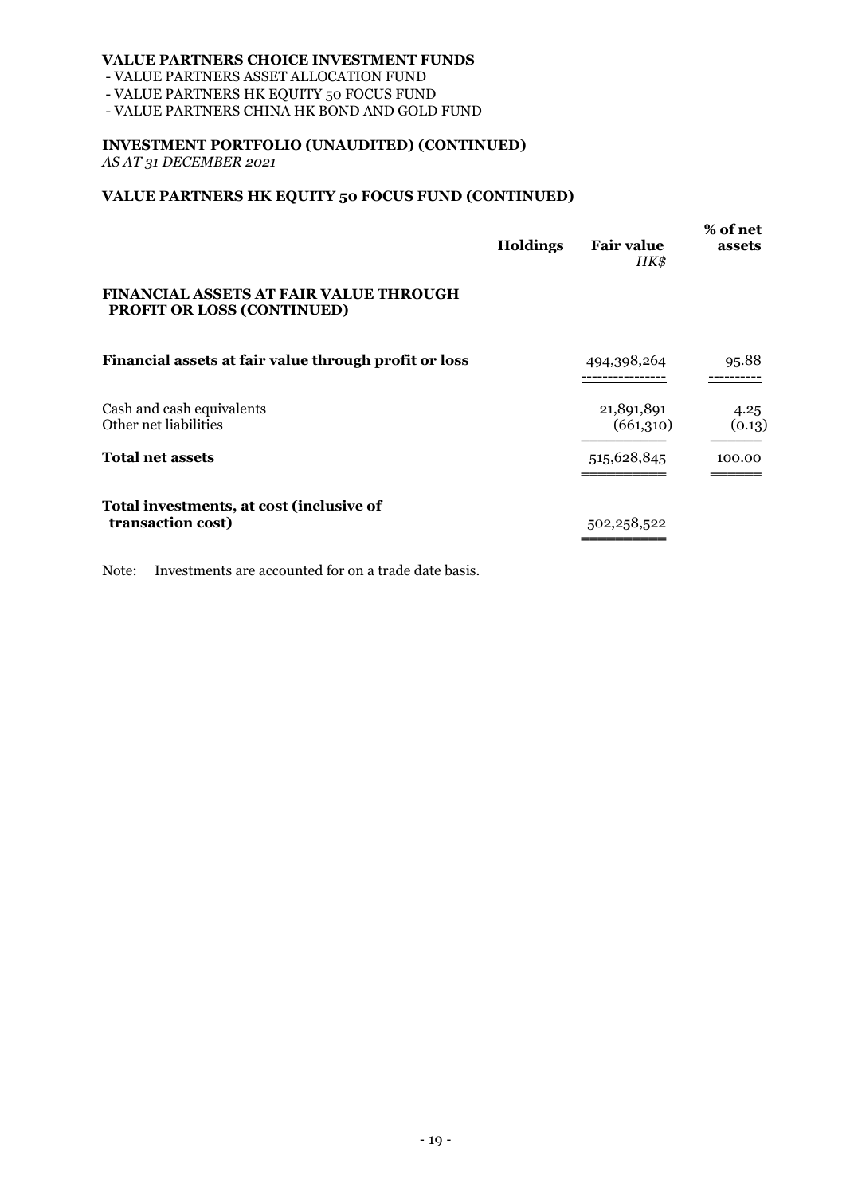- VALUE PARTNERS ASSET ALLOCATION FUND

- VALUE PARTNERS HK EQUITY 50 FOCUS FUND

- VALUE PARTNERS CHINA HK BOND AND GOLD FUND

# **INVESTMENT PORTFOLIO (UNAUDITED) (CONTINUED)**

*AS AT 31 DECEMBER 2021*

### **VALUE PARTNERS HK EQUITY 50 FOCUS FUND (CONTINUED)**

|                                                                                    | <b>Holdings</b> | <b>Fair value</b><br>HK\$ | % of net<br>assets |
|------------------------------------------------------------------------------------|-----------------|---------------------------|--------------------|
| <b>FINANCIAL ASSETS AT FAIR VALUE THROUGH</b><br><b>PROFIT OR LOSS (CONTINUED)</b> |                 |                           |                    |
| Financial assets at fair value through profit or loss                              |                 | 494,398,264               | 95.88              |
| Cash and cash equivalents<br>Other net liabilities                                 |                 | 21,891,891<br>(661,310)   | 4.25<br>(0.13)     |
| <b>Total net assets</b>                                                            |                 | 515,628,845               | 100.00             |
| Total investments, at cost (inclusive of<br>transaction cost)                      |                 | 502,258,522               |                    |

Note: Investments are accounted for on a trade date basis.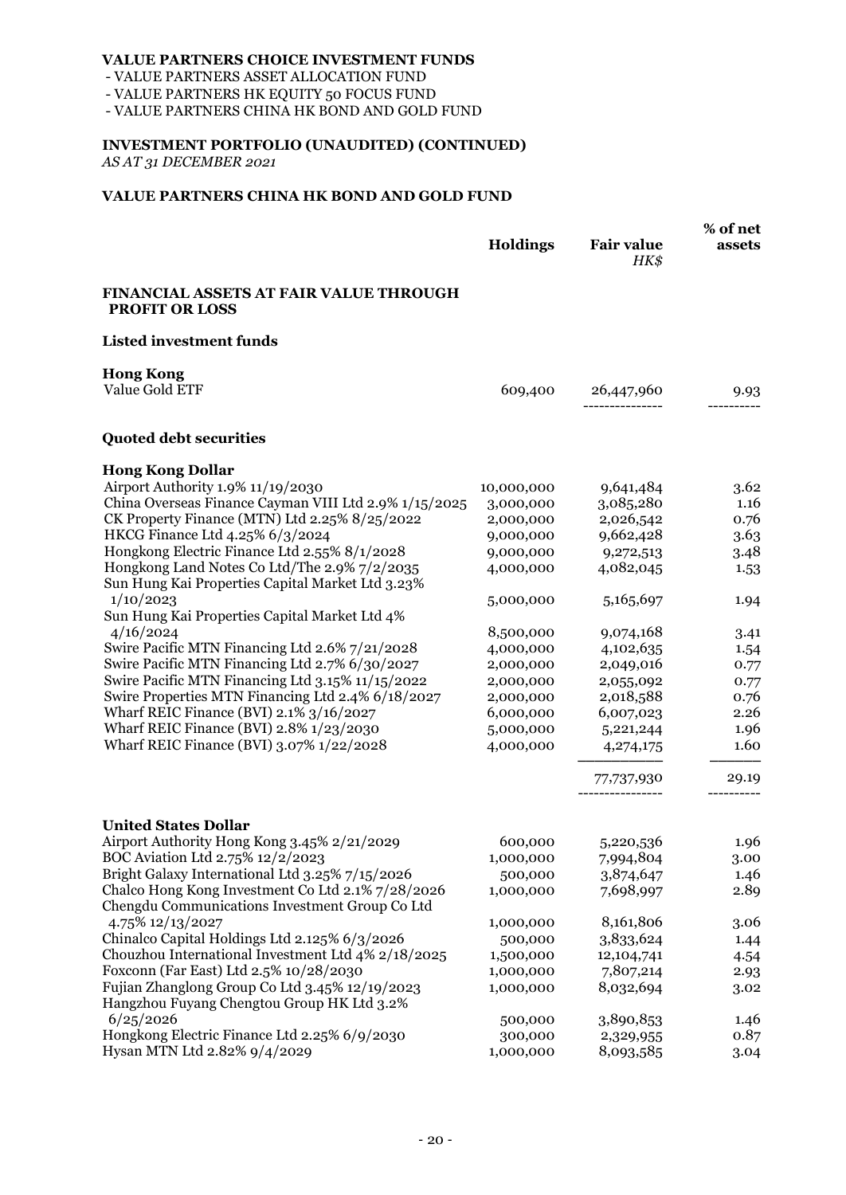- VALUE PARTNERS ASSET ALLOCATION FUND

- VALUE PARTNERS HK EQUITY 50 FOCUS FUND

- VALUE PARTNERS CHINA HK BOND AND GOLD FUND

### **INVESTMENT PORTFOLIO (UNAUDITED) (CONTINUED)**

*AS AT 31 DECEMBER 2021*

#### **VALUE PARTNERS CHINA HK BOND AND GOLD FUND**

|                                                                                                  | Holdings   | <b>Fair value</b><br>HK\$ | % of net<br>assets |
|--------------------------------------------------------------------------------------------------|------------|---------------------------|--------------------|
| FINANCIAL ASSETS AT FAIR VALUE THROUGH<br><b>PROFIT OR LOSS</b>                                  |            |                           |                    |
| <b>Listed investment funds</b>                                                                   |            |                           |                    |
| <b>Hong Kong</b>                                                                                 |            |                           |                    |
| Value Gold ETF                                                                                   | 609,400    | 26,447,960                | 9.93               |
| <b>Quoted debt securities</b>                                                                    |            |                           |                    |
| <b>Hong Kong Dollar</b>                                                                          |            |                           |                    |
| Airport Authority 1.9% 11/19/2030                                                                | 10,000,000 | 9,641,484                 | 3.62               |
| China Overseas Finance Cayman VIII Ltd 2.9% 1/15/2025                                            | 3,000,000  | 3,085,280                 | 1.16               |
| CK Property Finance (MTN) Ltd 2.25% 8/25/2022                                                    | 2,000,000  | 2,026,542                 | 0.76               |
| HKCG Finance Ltd 4.25% 6/3/2024                                                                  | 9,000,000  | 9,662,428                 | 3.63               |
| Hongkong Electric Finance Ltd 2.55% 8/1/2028                                                     | 9,000,000  | 9,272,513                 | 3.48               |
| Hongkong Land Notes Co Ltd/The 2.9% 7/2/2035<br>Sun Hung Kai Properties Capital Market Ltd 3.23% | 4,000,000  | 4,082,045                 | 1.53               |
| 1/10/2023                                                                                        | 5,000,000  | 5,165,697                 | 1.94               |
| Sun Hung Kai Properties Capital Market Ltd 4%                                                    |            |                           |                    |
| 4/16/2024                                                                                        | 8,500,000  | 9,074,168                 | 3.41               |
| Swire Pacific MTN Financing Ltd 2.6% 7/21/2028                                                   | 4,000,000  | 4,102,635                 | 1.54               |
| Swire Pacific MTN Financing Ltd 2.7% 6/30/2027                                                   | 2,000,000  | 2,049,016                 | 0.77               |
| Swire Pacific MTN Financing Ltd 3.15% 11/15/2022                                                 | 2,000,000  | 2,055,092                 | 0.77               |
| Swire Properties MTN Financing Ltd 2.4% 6/18/2027                                                | 2,000,000  | 2,018,588                 | 0.76               |
| Wharf REIC Finance (BVI) 2.1% 3/16/2027                                                          | 6,000,000  | 6,007,023                 | 2.26               |
| Wharf REIC Finance (BVI) 2.8% 1/23/2030                                                          | 5,000,000  | 5,221,244                 | 1.96               |
| Wharf REIC Finance (BVI) 3.07% 1/22/2028                                                         | 4,000,000  | 4,274,175                 | 1.60               |
|                                                                                                  |            | 77,737,930                | 29.19              |
| <b>United States Dollar</b>                                                                      |            |                           |                    |
| Airport Authority Hong Kong 3.45% 2/21/2029                                                      | 600,000    | 5,220,536                 | 1.96               |
| BOC Aviation Ltd 2.75% 12/2/2023                                                                 | 1,000,000  | 7,994,804                 | 3.00               |
| Bright Galaxy International Ltd 3.25% 7/15/2026                                                  | 500,000    | 3,874,647                 | 1.46               |
| Chalco Hong Kong Investment Co Ltd 2.1% 7/28/2026                                                | 1,000,000  | 7,698,997                 | 2.89               |
| Chengdu Communications Investment Group Co Ltd                                                   |            |                           |                    |
| 4.75% 12/13/2027                                                                                 | 1,000,000  | 8,161,806                 | 3.06               |
| Chinalco Capital Holdings Ltd 2.125% 6/3/2026                                                    | 500,000    | 3,833,624                 | 1.44               |
| Chouzhou International Investment Ltd 4% 2/18/2025                                               | 1,500,000  | 12,104,741                | 4.54               |
| Foxconn (Far East) Ltd 2.5% 10/28/2030                                                           | 1,000,000  | 7,807,214                 | 2.93               |
| Fujian Zhanglong Group Co Ltd 3.45% 12/19/2023                                                   | 1,000,000  | 8,032,694                 | 3.02               |
| Hangzhou Fuyang Chengtou Group HK Ltd 3.2%                                                       |            |                           |                    |
| 6/25/2026                                                                                        | 500,000    | 3,890,853                 | 1.46               |
| Hongkong Electric Finance Ltd 2.25% 6/9/2030                                                     | 300,000    | 2,329,955                 | 0.87               |
| Hysan MTN Ltd 2.82% 9/4/2029                                                                     | 1,000,000  | 8,093,585                 | 3.04               |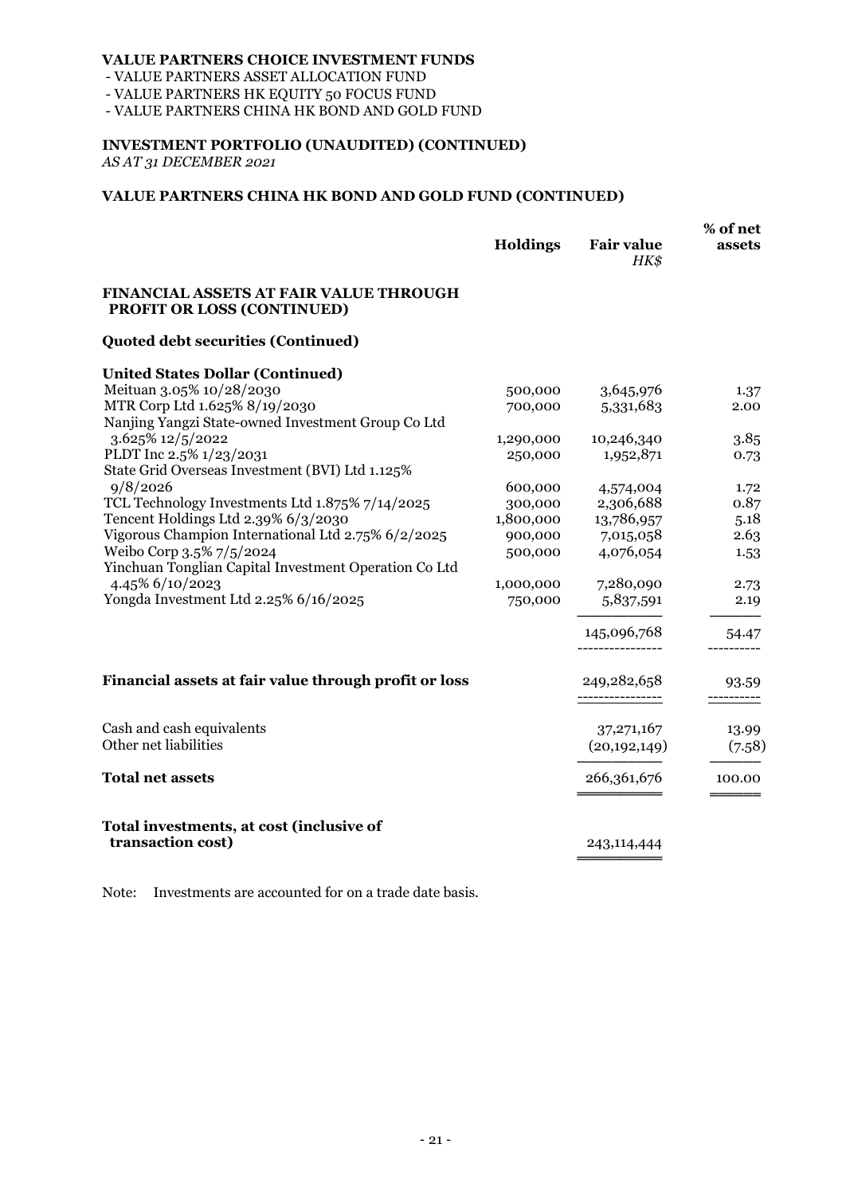- VALUE PARTNERS ASSET ALLOCATION FUND

- VALUE PARTNERS HK EQUITY 50 FOCUS FUND

- VALUE PARTNERS CHINA HK BOND AND GOLD FUND

# **INVESTMENT PORTFOLIO (UNAUDITED) (CONTINUED)**

*AS AT 31 DECEMBER 2021*

### **VALUE PARTNERS CHINA HK BOND AND GOLD FUND (CONTINUED)**

|                                                                             | Holdings  | <b>Fair value</b><br>HK\$ | % of net<br>assets |
|-----------------------------------------------------------------------------|-----------|---------------------------|--------------------|
| <b>FINANCIAL ASSETS AT FAIR VALUE THROUGH</b><br>PROFIT OR LOSS (CONTINUED) |           |                           |                    |
| <b>Quoted debt securities (Continued)</b>                                   |           |                           |                    |
| <b>United States Dollar (Continued)</b>                                     |           |                           |                    |
| Meituan 3.05% 10/28/2030                                                    | 500,000   | 3,645,976                 | 1.37               |
| MTR Corp Ltd 1.625% 8/19/2030                                               | 700,000   | 5,331,683                 | 2.00               |
| Nanjing Yangzi State-owned Investment Group Co Ltd                          |           |                           |                    |
| 3.625% 12/5/2022                                                            | 1,290,000 | 10,246,340                | 3.85               |
| PLDT Inc 2.5% 1/23/2031                                                     | 250,000   | 1,952,871                 | 0.73               |
| State Grid Overseas Investment (BVI) Ltd 1.125%                             |           |                           |                    |
| 9/8/2026                                                                    | 600,000   | 4,574,004                 | 1.72               |
| TCL Technology Investments Ltd 1.875% 7/14/2025                             | 300,000   | 2,306,688                 | 0.87               |
| Tencent Holdings Ltd 2.39% 6/3/2030                                         | 1,800,000 | 13,786,957                | 5.18               |
| Vigorous Champion International Ltd 2.75% 6/2/2025                          | 900,000   | 7,015,058                 | 2.63               |
| Weibo Corp 3.5% 7/5/2024                                                    | 500,000   | 4,076,054                 | 1.53               |
| Yinchuan Tonglian Capital Investment Operation Co Ltd                       |           |                           |                    |
| 4.45% 6/10/2023                                                             | 1,000,000 | 7,280,090                 | 2.73               |
| Yongda Investment Ltd 2.25% 6/16/2025                                       | 750,000   | 5,837,591                 | 2.19               |
|                                                                             |           |                           |                    |
|                                                                             |           | 145,096,768               | 54.47              |
| Financial assets at fair value through profit or loss                       |           | 249,282,658               | 93.59              |
|                                                                             |           | ----------------          | ----------         |
| Cash and cash equivalents                                                   |           | 37, 271, 167              | 13.99              |
| Other net liabilities                                                       |           | (20, 192, 149)            | (7.58)             |
| <b>Total net assets</b>                                                     |           | 266,361,676               | 100.00             |
| Total investments, at cost (inclusive of                                    |           |                           |                    |
| transaction cost)                                                           |           | 243,114,444               |                    |
|                                                                             |           |                           |                    |

Note: Investments are accounted for on a trade date basis.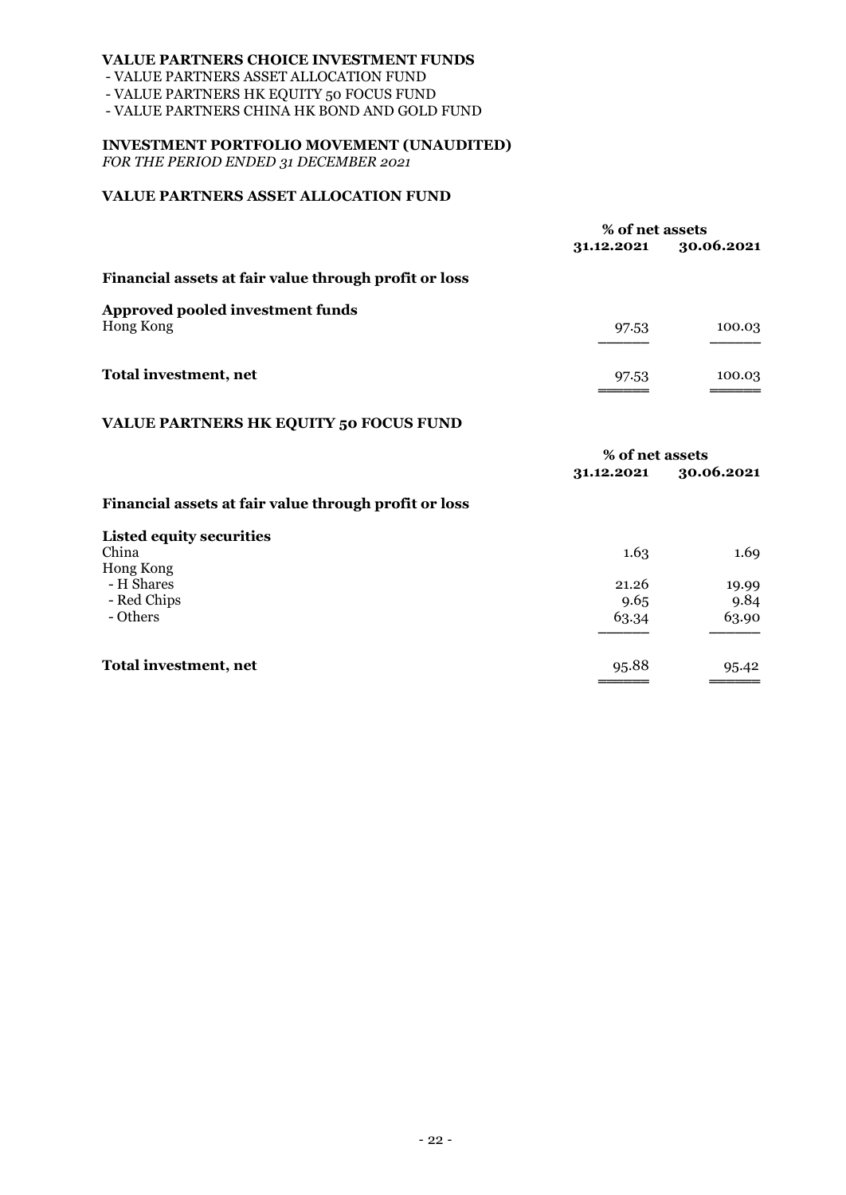- VALUE PARTNERS ASSET ALLOCATION FUND

- VALUE PARTNERS HK EQUITY 50 FOCUS FUND

- VALUE PARTNERS CHINA HK BOND AND GOLD FUND

### **INVESTMENT PORTFOLIO MOVEMENT (UNAUDITED)**

*FOR THE PERIOD ENDED 31 DECEMBER 2021*

### **VALUE PARTNERS ASSET ALLOCATION FUND**

|                                                       | % of net assets |            |
|-------------------------------------------------------|-----------------|------------|
|                                                       | 31.12.2021      | 30.06.2021 |
| Financial assets at fair value through profit or loss |                 |            |
| Approved pooled investment funds                      |                 |            |
| Hong Kong                                             | 97.53           | 100.03     |
| Total investment, net                                 | 97.53           | 100.03     |
| <b>VALUE PARTNERS HK EQUITY 50 FOCUS FUND</b>         |                 |            |
|                                                       | % of net assets |            |
|                                                       | 31.12.2021      | 30.06.2021 |
| Financial assets at fair value through profit or loss |                 |            |
| <b>Listed equity securities</b>                       |                 |            |
| China                                                 | 1.63            | 1.69       |
| Hong Kong                                             |                 |            |
| - H Shares                                            | 21.26           | 19.99      |
| - Red Chips                                           | 9.65            | 9.84       |
| - Others                                              | 63.34           | 63.90      |

| Total investment, net | 95.88<br>====== | 95.42<br>===== |
|-----------------------|-----------------|----------------|

- Others 63.34 63.90